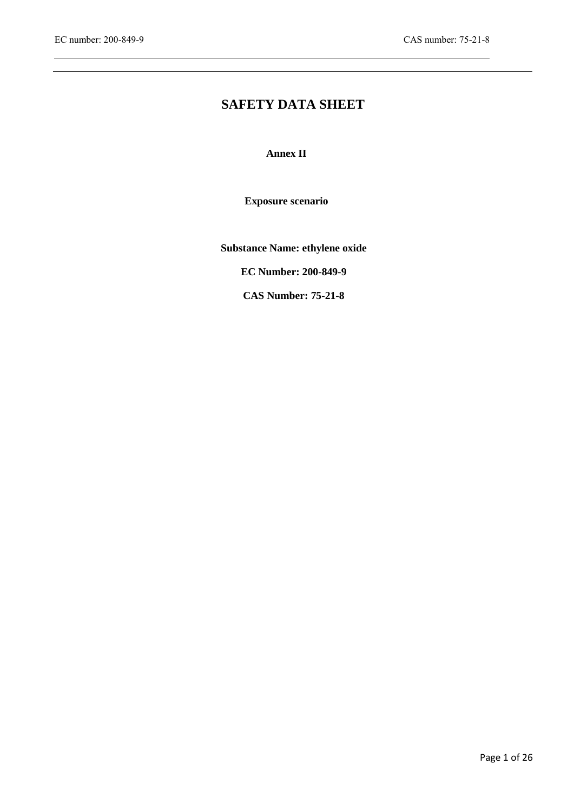$\overline{\phantom{a}}$ 

# **SAFETY DATA SHEET**

**Annex II**

**Exposure scenario**

**Substance Name: ethylene oxide**

**EC Number: 200-849-9**

**CAS Number: 75-21-8**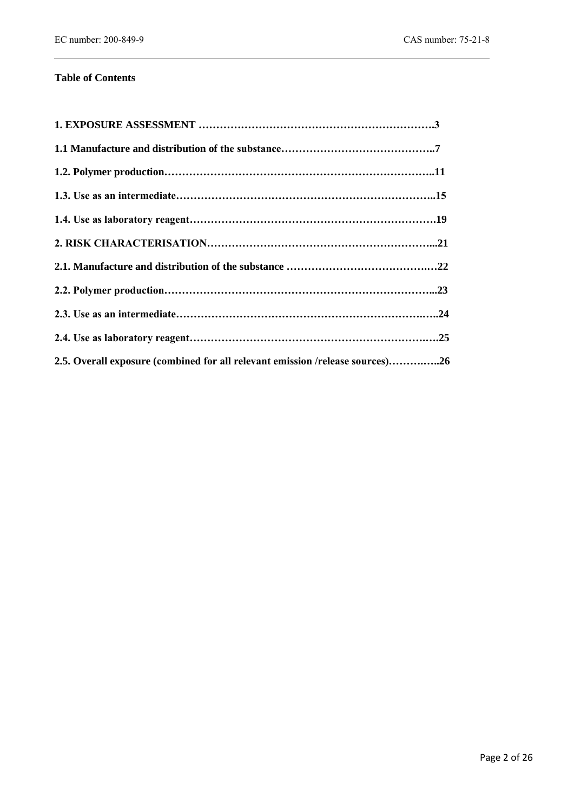# **Table of Contents**

| 2.5. Overall exposure (combined for all relevant emission /release sources)26 |  |
|-------------------------------------------------------------------------------|--|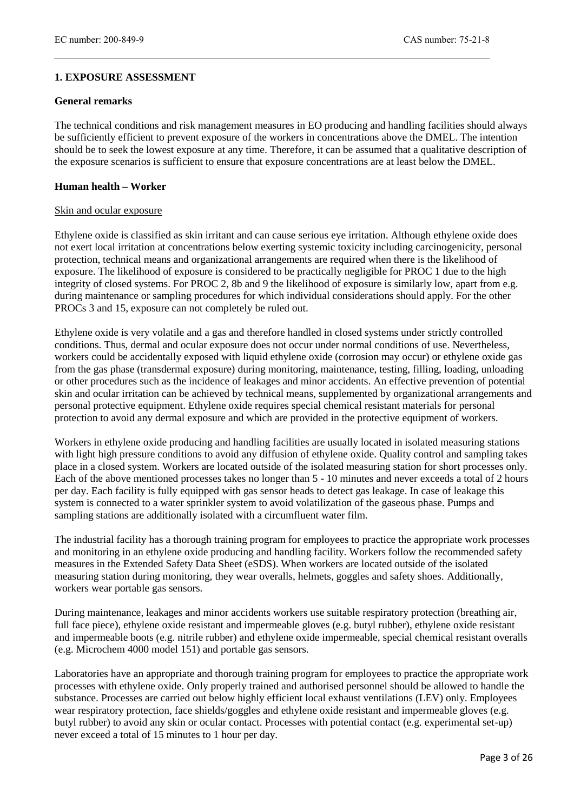# **1. EXPOSURE ASSESSMENT**

#### **General remarks**

The technical conditions and risk management measures in EO producing and handling facilities should always be sufficiently efficient to prevent exposure of the workers in concentrations above the DMEL. The intention should be to seek the lowest exposure at any time. Therefore, it can be assumed that a qualitative description of the exposure scenarios is sufficient to ensure that exposure concentrations are at least below the DMEL.

#### **Human health – Worker**

#### Skin and ocular exposure

Ethylene oxide is classified as skin irritant and can cause serious eye irritation. Although ethylene oxide does not exert local irritation at concentrations below exerting systemic toxicity including carcinogenicity, personal protection, technical means and organizational arrangements are required when there is the likelihood of exposure. The likelihood of exposure is considered to be practically negligible for PROC 1 due to the high integrity of closed systems. For PROC 2, 8b and 9 the likelihood of exposure is similarly low, apart from e.g. during maintenance or sampling procedures for which individual considerations should apply. For the other PROCs 3 and 15, exposure can not completely be ruled out.

Ethylene oxide is very volatile and a gas and therefore handled in closed systems under strictly controlled conditions. Thus, dermal and ocular exposure does not occur under normal conditions of use. Nevertheless, workers could be accidentally exposed with liquid ethylene oxide (corrosion may occur) or ethylene oxide gas from the gas phase (transdermal exposure) during monitoring, maintenance, testing, filling, loading, unloading or other procedures such as the incidence of leakages and minor accidents. An effective prevention of potential skin and ocular irritation can be achieved by technical means, supplemented by organizational arrangements and personal protective equipment. Ethylene oxide requires special chemical resistant materials for personal protection to avoid any dermal exposure and which are provided in the protective equipment of workers.

Workers in ethylene oxide producing and handling facilities are usually located in isolated measuring stations with light high pressure conditions to avoid any diffusion of ethylene oxide. Quality control and sampling takes place in a closed system. Workers are located outside of the isolated measuring station for short processes only. Each of the above mentioned processes takes no longer than 5 - 10 minutes and never exceeds a total of 2 hours per day. Each facility is fully equipped with gas sensor heads to detect gas leakage. In case of leakage this system is connected to a water sprinkler system to avoid volatilization of the gaseous phase. Pumps and sampling stations are additionally isolated with a circumfluent water film.

The industrial facility has a thorough training program for employees to practice the appropriate work processes and monitoring in an ethylene oxide producing and handling facility. Workers follow the recommended safety measures in the Extended Safety Data Sheet (eSDS). When workers are located outside of the isolated measuring station during monitoring, they wear overalls, helmets, goggles and safety shoes. Additionally, workers wear portable gas sensors.

During maintenance, leakages and minor accidents workers use suitable respiratory protection (breathing air, full face piece), ethylene oxide resistant and impermeable gloves (e.g. butyl rubber), ethylene oxide resistant and impermeable boots (e.g. nitrile rubber) and ethylene oxide impermeable, special chemical resistant overalls (e.g. Microchem 4000 model 151) and portable gas sensors.

Laboratories have an appropriate and thorough training program for employees to practice the appropriate work processes with ethylene oxide. Only properly trained and authorised personnel should be allowed to handle the substance. Processes are carried out below highly efficient local exhaust ventilations (LEV) only. Employees wear respiratory protection, face shields/goggles and ethylene oxide resistant and impermeable gloves (e.g. butyl rubber) to avoid any skin or ocular contact. Processes with potential contact (e.g. experimental set-up) never exceed a total of 15 minutes to 1 hour per day.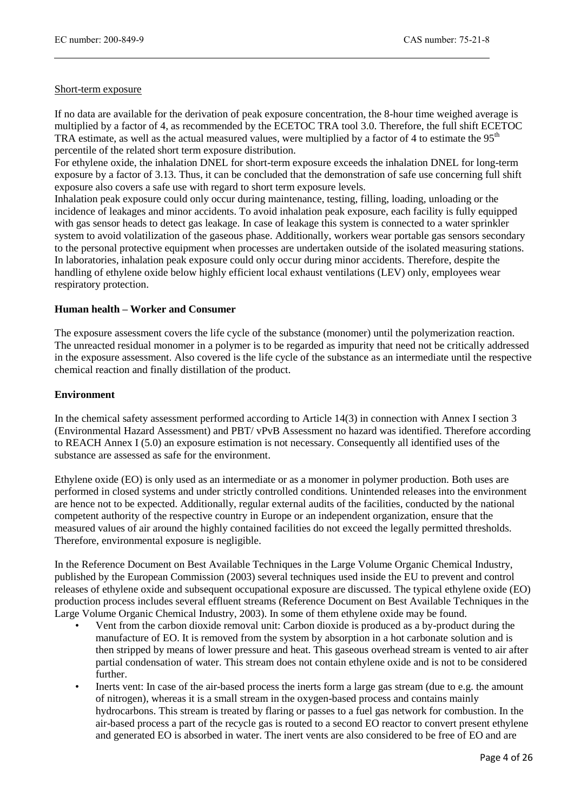#### Short-term exposure

If no data are available for the derivation of peak exposure concentration, the 8-hour time weighed average is multiplied by a factor of 4, as recommended by the ECETOC TRA tool 3.0. Therefore, the full shift ECETOC TRA estimate, as well as the actual measured values, were multiplied by a factor of 4 to estimate the 95<sup>th</sup> percentile of the related short term exposure distribution.

For ethylene oxide, the inhalation DNEL for short-term exposure exceeds the inhalation DNEL for long-term exposure by a factor of 3.13. Thus, it can be concluded that the demonstration of safe use concerning full shift exposure also covers a safe use with regard to short term exposure levels.

Inhalation peak exposure could only occur during maintenance, testing, filling, loading, unloading or the incidence of leakages and minor accidents. To avoid inhalation peak exposure, each facility is fully equipped with gas sensor heads to detect gas leakage. In case of leakage this system is connected to a water sprinkler system to avoid volatilization of the gaseous phase. Additionally, workers wear portable gas sensors secondary to the personal protective equipment when processes are undertaken outside of the isolated measuring stations. In laboratories, inhalation peak exposure could only occur during minor accidents. Therefore, despite the handling of ethylene oxide below highly efficient local exhaust ventilations (LEV) only, employees wear respiratory protection.

#### **Human health – Worker and Consumer**

The exposure assessment covers the life cycle of the substance (monomer) until the polymerization reaction. The unreacted residual monomer in a polymer is to be regarded as impurity that need not be critically addressed in the exposure assessment. Also covered is the life cycle of the substance as an intermediate until the respective chemical reaction and finally distillation of the product.

#### **Environment**

In the chemical safety assessment performed according to Article 14(3) in connection with Annex I section 3 (Environmental Hazard Assessment) and PBT/ vPvB Assessment no hazard was identified. Therefore according to REACH Annex I (5.0) an exposure estimation is not necessary. Consequently all identified uses of the substance are assessed as safe for the environment.

Ethylene oxide (EO) is only used as an intermediate or as a monomer in polymer production. Both uses are performed in closed systems and under strictly controlled conditions. Unintended releases into the environment are hence not to be expected. Additionally, regular external audits of the facilities, conducted by the national competent authority of the respective country in Europe or an independent organization, ensure that the measured values of air around the highly contained facilities do not exceed the legally permitted thresholds. Therefore, environmental exposure is negligible.

In the Reference Document on Best Available Techniques in the Large Volume Organic Chemical Industry, published by the European Commission (2003) several techniques used inside the EU to prevent and control releases of ethylene oxide and subsequent occupational exposure are discussed. The typical ethylene oxide (EO) production process includes several effluent streams (Reference Document on Best Available Techniques in the Large Volume Organic Chemical Industry, 2003). In some of them ethylene oxide may be found.

- Vent from the carbon dioxide removal unit: Carbon dioxide is produced as a by-product during the manufacture of EO. It is removed from the system by absorption in a hot carbonate solution and is then stripped by means of lower pressure and heat. This gaseous overhead stream is vented to air after partial condensation of water. This stream does not contain ethylene oxide and is not to be considered further.
- Inerts vent: In case of the air-based process the inerts form a large gas stream (due to e.g. the amount of nitrogen), whereas it is a small stream in the oxygen-based process and contains mainly hydrocarbons. This stream is treated by flaring or passes to a fuel gas network for combustion. In the air-based process a part of the recycle gas is routed to a second EO reactor to convert present ethylene and generated EO is absorbed in water. The inert vents are also considered to be free of EO and are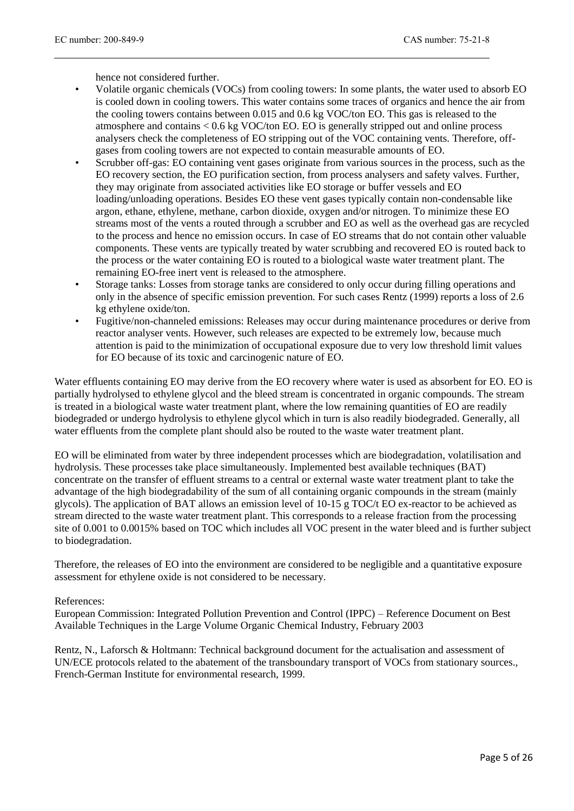hence not considered further.

- Volatile organic chemicals (VOCs) from cooling towers: In some plants, the water used to absorb EO is cooled down in cooling towers. This water contains some traces of organics and hence the air from the cooling towers contains between 0.015 and 0.6 kg VOC/ton EO. This gas is released to the atmosphere and contains < 0.6 kg VOC/ton EO. EO is generally stripped out and online process analysers check the completeness of EO stripping out of the VOC containing vents. Therefore, offgases from cooling towers are not expected to contain measurable amounts of EO.
- Scrubber off-gas: EO containing vent gases originate from various sources in the process, such as the EO recovery section, the EO purification section, from process analysers and safety valves. Further, they may originate from associated activities like EO storage or buffer vessels and EO loading/unloading operations. Besides EO these vent gases typically contain non-condensable like argon, ethane, ethylene, methane, carbon dioxide, oxygen and/or nitrogen. To minimize these EO streams most of the vents a routed through a scrubber and EO as well as the overhead gas are recycled to the process and hence no emission occurs. In case of EO streams that do not contain other valuable components. These vents are typically treated by water scrubbing and recovered EO is routed back to the process or the water containing EO is routed to a biological waste water treatment plant. The remaining EO-free inert vent is released to the atmosphere.
- Storage tanks: Losses from storage tanks are considered to only occur during filling operations and only in the absence of specific emission prevention. For such cases Rentz (1999) reports a loss of 2.6 kg ethylene oxide/ton.
- Fugitive/non-channeled emissions: Releases may occur during maintenance procedures or derive from reactor analyser vents. However, such releases are expected to be extremely low, because much attention is paid to the minimization of occupational exposure due to very low threshold limit values for EO because of its toxic and carcinogenic nature of EO.

Water effluents containing EO may derive from the EO recovery where water is used as absorbent for EO. EO is partially hydrolysed to ethylene glycol and the bleed stream is concentrated in organic compounds. The stream is treated in a biological waste water treatment plant, where the low remaining quantities of EO are readily biodegraded or undergo hydrolysis to ethylene glycol which in turn is also readily biodegraded. Generally, all water effluents from the complete plant should also be routed to the waste water treatment plant.

EO will be eliminated from water by three independent processes which are biodegradation, volatilisation and hydrolysis. These processes take place simultaneously. Implemented best available techniques (BAT) concentrate on the transfer of effluent streams to a central or external waste water treatment plant to take the advantage of the high biodegradability of the sum of all containing organic compounds in the stream (mainly glycols). The application of BAT allows an emission level of 10-15 g TOC/t EO ex-reactor to be achieved as stream directed to the waste water treatment plant. This corresponds to a release fraction from the processing site of 0.001 to 0.0015% based on TOC which includes all VOC present in the water bleed and is further subject to biodegradation.

Therefore, the releases of EO into the environment are considered to be negligible and a quantitative exposure assessment for ethylene oxide is not considered to be necessary.

#### References:

European Commission: Integrated Pollution Prevention and Control (IPPC) – Reference Document on Best Available Techniques in the Large Volume Organic Chemical Industry, February 2003

Rentz, N., Laforsch & Holtmann: Technical background document for the actualisation and assessment of UN/ECE protocols related to the abatement of the transboundary transport of VOCs from stationary sources., French-German Institute for environmental research, 1999.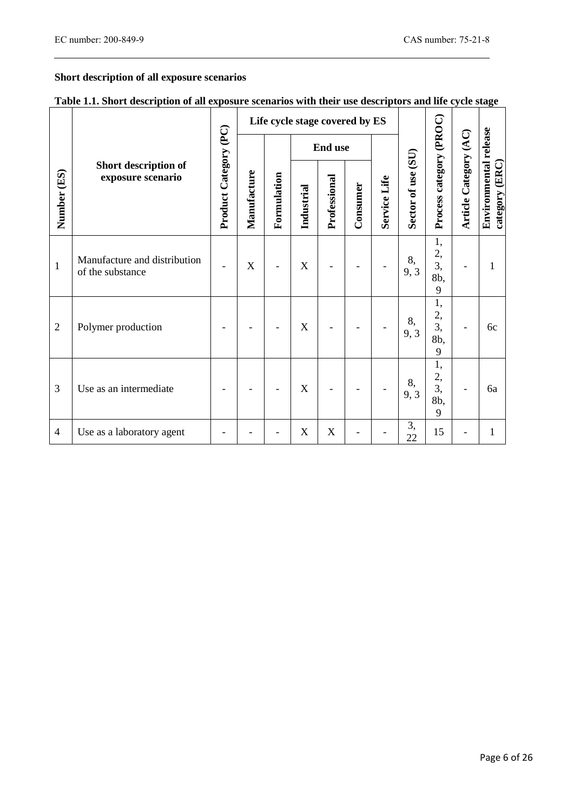$\mathbb{R}$ 

# **Short description of all exposure scenarios**

|  | Table 1.1. Short description of all exposure scenarios with their use descriptors and life cycle stage |  |  |  |  |
|--|--------------------------------------------------------------------------------------------------------|--|--|--|--|
|  |                                                                                                        |  |  |  |  |

|                |                                                  |                              |                            |            |                           | Life cycle stage covered by ES |              |                    |                         |                                 |                                         |    |  |  |  |
|----------------|--------------------------------------------------|------------------------------|----------------------------|------------|---------------------------|--------------------------------|--------------|--------------------|-------------------------|---------------------------------|-----------------------------------------|----|--|--|--|
|                | Short description of<br>exposure scenario        | <b>Product Category (PC)</b> |                            |            | <b>End use</b>            |                                |              |                    |                         |                                 |                                         |    |  |  |  |
| Number (ES)    |                                                  |                              | Manufacture<br>Formulation | Industrial | Professional              | Consumer                       | Service Life | Sector of use (SU) | Process category (PROC) | Article Category (AC)           | Environmental release<br>category (ERC) |    |  |  |  |
| 1              | Manufacture and distribution<br>of the substance |                              | X                          |            | $\boldsymbol{\mathrm{X}}$ |                                |              |                    | 8,<br>9, 3              | 1,<br>$\frac{2}{3}$<br>8b,<br>9 |                                         | 1  |  |  |  |
| $\overline{2}$ | Polymer production                               |                              |                            |            | X                         |                                |              |                    | 8,<br>9, 3              | 1,<br>2,<br>3,<br>8b,<br>9      | $\qquad \qquad \blacksquare$            | 6c |  |  |  |
| 3              | Use as an intermediate                           |                              |                            |            | X                         |                                |              |                    | 8,<br>9, 3              | 1,<br>2,<br>3,<br>8b,<br>9      | $\qquad \qquad \blacksquare$            | 6a |  |  |  |
| 4              | Use as a laboratory agent                        |                              |                            |            | $\mathbf X$               | $\boldsymbol{\mathrm{X}}$      |              |                    | 3,<br>22                | 15                              |                                         | 1  |  |  |  |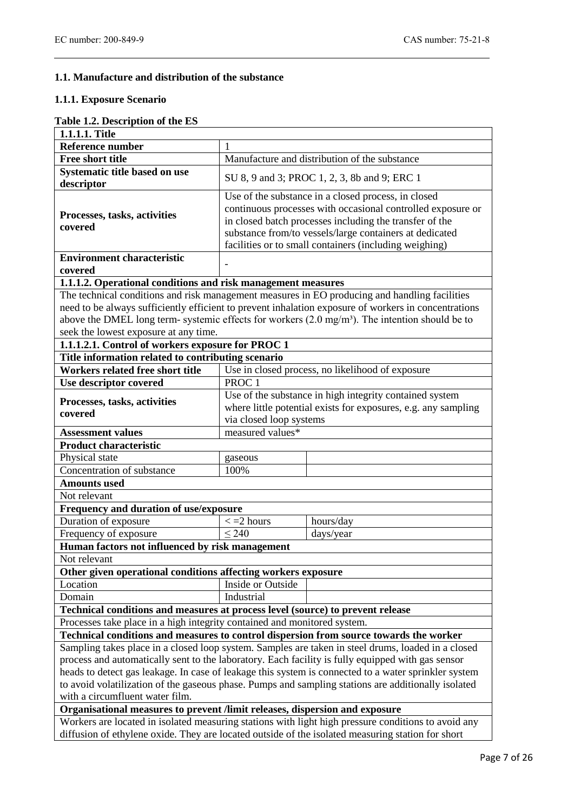# **1.1. Manufacture and distribution of the substance**

#### **1.1.1. Exposure Scenario**

# **Table 1.2. Description of the ES**

| 1.1.1.1. Title                                                                                       |                                                                                                                                                                                                                                                                                                    |                                                                                                            |  |  |  |  |
|------------------------------------------------------------------------------------------------------|----------------------------------------------------------------------------------------------------------------------------------------------------------------------------------------------------------------------------------------------------------------------------------------------------|------------------------------------------------------------------------------------------------------------|--|--|--|--|
| Reference number                                                                                     | $\mathbf{1}$                                                                                                                                                                                                                                                                                       |                                                                                                            |  |  |  |  |
| <b>Free short title</b>                                                                              | Manufacture and distribution of the substance                                                                                                                                                                                                                                                      |                                                                                                            |  |  |  |  |
| Systematic title based on use<br>descriptor                                                          | SU 8, 9 and 3; PROC 1, 2, 3, 8b and 9; ERC 1                                                                                                                                                                                                                                                       |                                                                                                            |  |  |  |  |
| Processes, tasks, activities<br>covered                                                              | Use of the substance in a closed process, in closed<br>continuous processes with occasional controlled exposure or<br>in closed batch processes including the transfer of the<br>substance from/to vessels/large containers at dedicated<br>facilities or to small containers (including weighing) |                                                                                                            |  |  |  |  |
| <b>Environment characteristic</b>                                                                    |                                                                                                                                                                                                                                                                                                    |                                                                                                            |  |  |  |  |
| covered                                                                                              |                                                                                                                                                                                                                                                                                                    |                                                                                                            |  |  |  |  |
| 1.1.1.2. Operational conditions and risk management measures                                         |                                                                                                                                                                                                                                                                                                    |                                                                                                            |  |  |  |  |
|                                                                                                      |                                                                                                                                                                                                                                                                                                    | The technical conditions and risk management measures in EO producing and handling facilities              |  |  |  |  |
|                                                                                                      |                                                                                                                                                                                                                                                                                                    | need to be always sufficiently efficient to prevent inhalation exposure of workers in concentrations       |  |  |  |  |
|                                                                                                      |                                                                                                                                                                                                                                                                                                    | above the DMEL long term- systemic effects for workers $(2.0 \text{ mg/m}^3)$ . The intention should be to |  |  |  |  |
| seek the lowest exposure at any time.                                                                |                                                                                                                                                                                                                                                                                                    |                                                                                                            |  |  |  |  |
| 1.1.1.2.1. Control of workers exposure for PROC 1                                                    |                                                                                                                                                                                                                                                                                                    |                                                                                                            |  |  |  |  |
| Title information related to contributing scenario                                                   |                                                                                                                                                                                                                                                                                                    |                                                                                                            |  |  |  |  |
| Workers related free short title                                                                     |                                                                                                                                                                                                                                                                                                    | Use in closed process, no likelihood of exposure                                                           |  |  |  |  |
| Use descriptor covered                                                                               | PROC <sub>1</sub>                                                                                                                                                                                                                                                                                  |                                                                                                            |  |  |  |  |
| Processes, tasks, activities<br>covered                                                              | Use of the substance in high integrity contained system<br>where little potential exists for exposures, e.g. any sampling<br>via closed loop systems                                                                                                                                               |                                                                                                            |  |  |  |  |
| <b>Assessment values</b>                                                                             | measured values*                                                                                                                                                                                                                                                                                   |                                                                                                            |  |  |  |  |
| <b>Product characteristic</b>                                                                        |                                                                                                                                                                                                                                                                                                    |                                                                                                            |  |  |  |  |
| Physical state                                                                                       | gaseous                                                                                                                                                                                                                                                                                            |                                                                                                            |  |  |  |  |
| Concentration of substance                                                                           | 100%                                                                                                                                                                                                                                                                                               |                                                                                                            |  |  |  |  |
| <b>Amounts used</b>                                                                                  |                                                                                                                                                                                                                                                                                                    |                                                                                                            |  |  |  |  |
| Not relevant                                                                                         |                                                                                                                                                                                                                                                                                                    |                                                                                                            |  |  |  |  |
| Frequency and duration of use/exposure                                                               |                                                                                                                                                                                                                                                                                                    |                                                                                                            |  |  |  |  |
| Duration of exposure                                                                                 | $\epsilon$ = 2 hours                                                                                                                                                                                                                                                                               | hours/day                                                                                                  |  |  |  |  |
| Frequency of exposure                                                                                | $\leq$ 240                                                                                                                                                                                                                                                                                         | days/year                                                                                                  |  |  |  |  |
| Human factors not influenced by risk management                                                      |                                                                                                                                                                                                                                                                                                    |                                                                                                            |  |  |  |  |
| Not relevant                                                                                         |                                                                                                                                                                                                                                                                                                    |                                                                                                            |  |  |  |  |
| Other given operational conditions affecting workers exposure                                        |                                                                                                                                                                                                                                                                                                    |                                                                                                            |  |  |  |  |
| Location                                                                                             | Inside or Outside                                                                                                                                                                                                                                                                                  |                                                                                                            |  |  |  |  |
| Domain                                                                                               | Industrial                                                                                                                                                                                                                                                                                         |                                                                                                            |  |  |  |  |
| Technical conditions and measures at process level (source) to prevent release                       |                                                                                                                                                                                                                                                                                                    |                                                                                                            |  |  |  |  |
| Processes take place in a high integrity contained and monitored system.                             |                                                                                                                                                                                                                                                                                                    |                                                                                                            |  |  |  |  |
| Technical conditions and measures to control dispersion from source towards the worker               |                                                                                                                                                                                                                                                                                                    |                                                                                                            |  |  |  |  |
| Sampling takes place in a closed loop system. Samples are taken in steel drums, loaded in a closed   |                                                                                                                                                                                                                                                                                                    |                                                                                                            |  |  |  |  |
| process and automatically sent to the laboratory. Each facility is fully equipped with gas sensor    |                                                                                                                                                                                                                                                                                                    |                                                                                                            |  |  |  |  |
| heads to detect gas leakage. In case of leakage this system is connected to a water sprinkler system |                                                                                                                                                                                                                                                                                                    |                                                                                                            |  |  |  |  |
|                                                                                                      |                                                                                                                                                                                                                                                                                                    | to avoid volatilization of the gaseous phase. Pumps and sampling stations are additionally isolated        |  |  |  |  |
| with a circumfluent water film.                                                                      |                                                                                                                                                                                                                                                                                                    |                                                                                                            |  |  |  |  |
| Organisational measures to prevent /limit releases, dispersion and exposure                          |                                                                                                                                                                                                                                                                                                    |                                                                                                            |  |  |  |  |
|                                                                                                      |                                                                                                                                                                                                                                                                                                    | Workers are located in isolated measuring stations with light high pressure conditions to avoid any        |  |  |  |  |
|                                                                                                      | diffusion of ethylene oxide. They are located outside of the isolated measuring station for short                                                                                                                                                                                                  |                                                                                                            |  |  |  |  |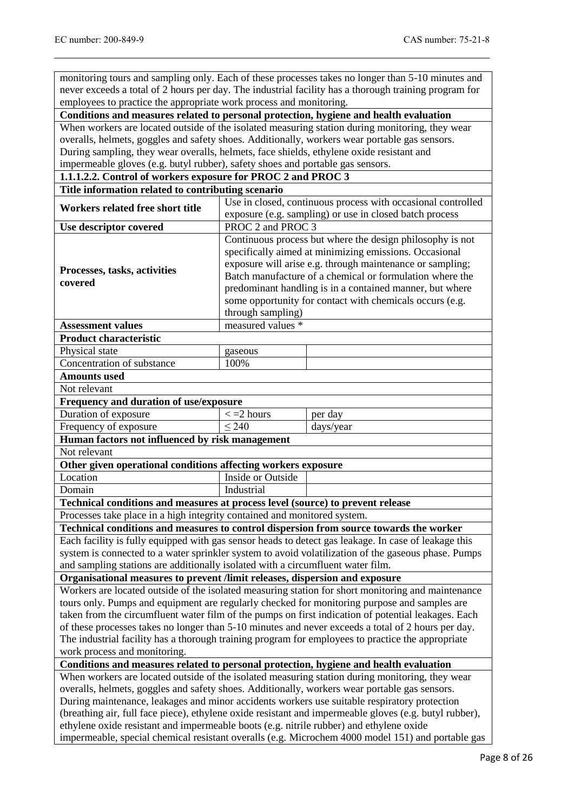monitoring tours and sampling only. Each of these processes takes no longer than 5-10 minutes and never exceeds a total of 2 hours per day. The industrial facility has a thorough training program for employees to practice the appropriate work process and monitoring.

**Conditions and measures related to personal protection, hygiene and health evaluation**

When workers are located outside of the isolated measuring station during monitoring, they wear overalls, helmets, goggles and safety shoes. Additionally, workers wear portable gas sensors. During sampling, they wear overalls, helmets, face shields, ethylene oxide resistant and impermeable gloves (e.g. butyl rubber), safety shoes and portable gas sensors.

# **1.1.1.2.2. Control of workers exposure for PROC 2 and PROC 3**

| Title information related to contributing scenario                                                                                                                                                                                                                                                                                                                                                                                                                                                                                                                                                         |                                                                                                                                                                                                                                                                                                                                                                                           |                                                                                                      |  |  |  |
|------------------------------------------------------------------------------------------------------------------------------------------------------------------------------------------------------------------------------------------------------------------------------------------------------------------------------------------------------------------------------------------------------------------------------------------------------------------------------------------------------------------------------------------------------------------------------------------------------------|-------------------------------------------------------------------------------------------------------------------------------------------------------------------------------------------------------------------------------------------------------------------------------------------------------------------------------------------------------------------------------------------|------------------------------------------------------------------------------------------------------|--|--|--|
| Workers related free short title                                                                                                                                                                                                                                                                                                                                                                                                                                                                                                                                                                           | Use in closed, continuous process with occasional controlled                                                                                                                                                                                                                                                                                                                              |                                                                                                      |  |  |  |
|                                                                                                                                                                                                                                                                                                                                                                                                                                                                                                                                                                                                            | exposure (e.g. sampling) or use in closed batch process                                                                                                                                                                                                                                                                                                                                   |                                                                                                      |  |  |  |
| Use descriptor covered                                                                                                                                                                                                                                                                                                                                                                                                                                                                                                                                                                                     | PROC 2 and PROC 3                                                                                                                                                                                                                                                                                                                                                                         |                                                                                                      |  |  |  |
| Processes, tasks, activities<br>covered                                                                                                                                                                                                                                                                                                                                                                                                                                                                                                                                                                    | Continuous process but where the design philosophy is not<br>specifically aimed at minimizing emissions. Occasional<br>exposure will arise e.g. through maintenance or sampling;<br>Batch manufacture of a chemical or formulation where the<br>predominant handling is in a contained manner, but where<br>some opportunity for contact with chemicals occurs (e.g.<br>through sampling) |                                                                                                      |  |  |  |
| <b>Assessment values</b>                                                                                                                                                                                                                                                                                                                                                                                                                                                                                                                                                                                   | measured values *                                                                                                                                                                                                                                                                                                                                                                         |                                                                                                      |  |  |  |
| <b>Product characteristic</b>                                                                                                                                                                                                                                                                                                                                                                                                                                                                                                                                                                              |                                                                                                                                                                                                                                                                                                                                                                                           |                                                                                                      |  |  |  |
| Physical state                                                                                                                                                                                                                                                                                                                                                                                                                                                                                                                                                                                             | gaseous                                                                                                                                                                                                                                                                                                                                                                                   |                                                                                                      |  |  |  |
| Concentration of substance                                                                                                                                                                                                                                                                                                                                                                                                                                                                                                                                                                                 | 100%                                                                                                                                                                                                                                                                                                                                                                                      |                                                                                                      |  |  |  |
| <b>Amounts used</b>                                                                                                                                                                                                                                                                                                                                                                                                                                                                                                                                                                                        |                                                                                                                                                                                                                                                                                                                                                                                           |                                                                                                      |  |  |  |
| Not relevant                                                                                                                                                                                                                                                                                                                                                                                                                                                                                                                                                                                               |                                                                                                                                                                                                                                                                                                                                                                                           |                                                                                                      |  |  |  |
| Frequency and duration of use/exposure                                                                                                                                                                                                                                                                                                                                                                                                                                                                                                                                                                     |                                                                                                                                                                                                                                                                                                                                                                                           |                                                                                                      |  |  |  |
| Duration of exposure                                                                                                                                                                                                                                                                                                                                                                                                                                                                                                                                                                                       | $\epsilon$ = 2 hours                                                                                                                                                                                                                                                                                                                                                                      | per day                                                                                              |  |  |  |
| Frequency of exposure                                                                                                                                                                                                                                                                                                                                                                                                                                                                                                                                                                                      | < 240                                                                                                                                                                                                                                                                                                                                                                                     | days/year                                                                                            |  |  |  |
| Human factors not influenced by risk management                                                                                                                                                                                                                                                                                                                                                                                                                                                                                                                                                            |                                                                                                                                                                                                                                                                                                                                                                                           |                                                                                                      |  |  |  |
| Not relevant                                                                                                                                                                                                                                                                                                                                                                                                                                                                                                                                                                                               |                                                                                                                                                                                                                                                                                                                                                                                           |                                                                                                      |  |  |  |
| Other given operational conditions affecting workers exposure                                                                                                                                                                                                                                                                                                                                                                                                                                                                                                                                              |                                                                                                                                                                                                                                                                                                                                                                                           |                                                                                                      |  |  |  |
| Location                                                                                                                                                                                                                                                                                                                                                                                                                                                                                                                                                                                                   | Inside or Outside                                                                                                                                                                                                                                                                                                                                                                         |                                                                                                      |  |  |  |
| Domain                                                                                                                                                                                                                                                                                                                                                                                                                                                                                                                                                                                                     | Industrial                                                                                                                                                                                                                                                                                                                                                                                |                                                                                                      |  |  |  |
| Technical conditions and measures at process level (source) to prevent release                                                                                                                                                                                                                                                                                                                                                                                                                                                                                                                             |                                                                                                                                                                                                                                                                                                                                                                                           |                                                                                                      |  |  |  |
| Processes take place in a high integrity contained and monitored system.                                                                                                                                                                                                                                                                                                                                                                                                                                                                                                                                   |                                                                                                                                                                                                                                                                                                                                                                                           |                                                                                                      |  |  |  |
| Technical conditions and measures to control dispersion from source towards the worker                                                                                                                                                                                                                                                                                                                                                                                                                                                                                                                     |                                                                                                                                                                                                                                                                                                                                                                                           |                                                                                                      |  |  |  |
|                                                                                                                                                                                                                                                                                                                                                                                                                                                                                                                                                                                                            |                                                                                                                                                                                                                                                                                                                                                                                           | Each facility is fully equipped with gas sensor heads to detect gas leakage. In case of leakage this |  |  |  |
|                                                                                                                                                                                                                                                                                                                                                                                                                                                                                                                                                                                                            |                                                                                                                                                                                                                                                                                                                                                                                           | system is connected to a water sprinkler system to avoid volatilization of the gaseous phase. Pumps  |  |  |  |
| and sampling stations are additionally isolated with a circumfluent water film.                                                                                                                                                                                                                                                                                                                                                                                                                                                                                                                            |                                                                                                                                                                                                                                                                                                                                                                                           |                                                                                                      |  |  |  |
| Organisational measures to prevent /limit releases, dispersion and exposure                                                                                                                                                                                                                                                                                                                                                                                                                                                                                                                                |                                                                                                                                                                                                                                                                                                                                                                                           |                                                                                                      |  |  |  |
| Workers are located outside of the isolated measuring station for short monitoring and maintenance<br>tours only. Pumps and equipment are regularly checked for monitoring purpose and samples are<br>taken from the circumfluent water film of the pumps on first indication of potential leakages. Each<br>of these processes takes no longer than 5-10 minutes and never exceeds a total of 2 hours per day.<br>The industrial facility has a thorough training program for employees to practice the appropriate<br>work process and monitoring.                                                       |                                                                                                                                                                                                                                                                                                                                                                                           |                                                                                                      |  |  |  |
| Conditions and measures related to personal protection, hygiene and health evaluation                                                                                                                                                                                                                                                                                                                                                                                                                                                                                                                      |                                                                                                                                                                                                                                                                                                                                                                                           |                                                                                                      |  |  |  |
| When workers are located outside of the isolated measuring station during monitoring, they wear<br>overalls, helmets, goggles and safety shoes. Additionally, workers wear portable gas sensors.<br>During maintenance, leakages and minor accidents workers use suitable respiratory protection<br>(breathing air, full face piece), ethylene oxide resistant and impermeable gloves (e.g. butyl rubber),<br>ethylene oxide resistant and impermeable boots (e.g. nitrile rubber) and ethylene oxide<br>impermeable, special chemical resistant overalls (e.g. Microchem 4000 model 151) and portable gas |                                                                                                                                                                                                                                                                                                                                                                                           |                                                                                                      |  |  |  |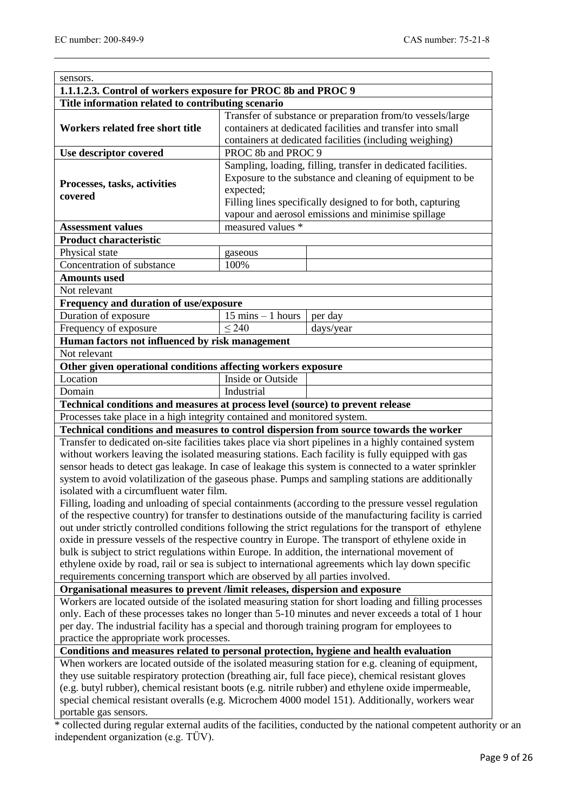| 1.1.1.2.3. Control of workers exposure for PROC 8b and PROC 9                                                                                                                               |                                                            |                                                                                                                                                                                                                                                                                                                            |  |  |  |  |
|---------------------------------------------------------------------------------------------------------------------------------------------------------------------------------------------|------------------------------------------------------------|----------------------------------------------------------------------------------------------------------------------------------------------------------------------------------------------------------------------------------------------------------------------------------------------------------------------------|--|--|--|--|
| Title information related to contributing scenario                                                                                                                                          |                                                            |                                                                                                                                                                                                                                                                                                                            |  |  |  |  |
|                                                                                                                                                                                             | Transfer of substance or preparation from/to vessels/large |                                                                                                                                                                                                                                                                                                                            |  |  |  |  |
| Workers related free short title                                                                                                                                                            |                                                            | containers at dedicated facilities and transfer into small                                                                                                                                                                                                                                                                 |  |  |  |  |
|                                                                                                                                                                                             | containers at dedicated facilities (including weighing)    |                                                                                                                                                                                                                                                                                                                            |  |  |  |  |
| Use descriptor covered                                                                                                                                                                      | PROC 8b and PROC 9                                         |                                                                                                                                                                                                                                                                                                                            |  |  |  |  |
|                                                                                                                                                                                             |                                                            | Sampling, loading, filling, transfer in dedicated facilities.                                                                                                                                                                                                                                                              |  |  |  |  |
| Processes, tasks, activities                                                                                                                                                                |                                                            | Exposure to the substance and cleaning of equipment to be                                                                                                                                                                                                                                                                  |  |  |  |  |
| expected;<br>covered<br>Filling lines specifically designed to for both, capturing                                                                                                          |                                                            |                                                                                                                                                                                                                                                                                                                            |  |  |  |  |
| vapour and aerosol emissions and minimise spillage                                                                                                                                          |                                                            |                                                                                                                                                                                                                                                                                                                            |  |  |  |  |
| <b>Assessment values</b>                                                                                                                                                                    | measured values *                                          |                                                                                                                                                                                                                                                                                                                            |  |  |  |  |
| <b>Product characteristic</b>                                                                                                                                                               |                                                            |                                                                                                                                                                                                                                                                                                                            |  |  |  |  |
| Physical state                                                                                                                                                                              | gaseous                                                    |                                                                                                                                                                                                                                                                                                                            |  |  |  |  |
| Concentration of substance                                                                                                                                                                  | 100%                                                       |                                                                                                                                                                                                                                                                                                                            |  |  |  |  |
| <b>Amounts used</b>                                                                                                                                                                         |                                                            |                                                                                                                                                                                                                                                                                                                            |  |  |  |  |
| Not relevant                                                                                                                                                                                |                                                            |                                                                                                                                                                                                                                                                                                                            |  |  |  |  |
| Frequency and duration of use/exposure                                                                                                                                                      |                                                            |                                                                                                                                                                                                                                                                                                                            |  |  |  |  |
| Duration of exposure                                                                                                                                                                        | $15 \text{ mins} - 1 \text{ hours}$                        | per day                                                                                                                                                                                                                                                                                                                    |  |  |  |  |
| Frequency of exposure                                                                                                                                                                       | $\overline{\leq}$ 240                                      | days/year                                                                                                                                                                                                                                                                                                                  |  |  |  |  |
| Human factors not influenced by risk management                                                                                                                                             |                                                            |                                                                                                                                                                                                                                                                                                                            |  |  |  |  |
| Not relevant                                                                                                                                                                                |                                                            |                                                                                                                                                                                                                                                                                                                            |  |  |  |  |
| Other given operational conditions affecting workers exposure                                                                                                                               |                                                            |                                                                                                                                                                                                                                                                                                                            |  |  |  |  |
| Location                                                                                                                                                                                    | Inside or Outside                                          |                                                                                                                                                                                                                                                                                                                            |  |  |  |  |
| Domain                                                                                                                                                                                      | Industrial                                                 |                                                                                                                                                                                                                                                                                                                            |  |  |  |  |
| Technical conditions and measures at process level (source) to prevent release                                                                                                              |                                                            |                                                                                                                                                                                                                                                                                                                            |  |  |  |  |
| Processes take place in a high integrity contained and monitored system.                                                                                                                    |                                                            |                                                                                                                                                                                                                                                                                                                            |  |  |  |  |
|                                                                                                                                                                                             |                                                            | Technical conditions and measures to control dispersion from source towards the worker                                                                                                                                                                                                                                     |  |  |  |  |
|                                                                                                                                                                                             |                                                            | Transfer to dedicated on-site facilities takes place via short pipelines in a highly contained system                                                                                                                                                                                                                      |  |  |  |  |
|                                                                                                                                                                                             |                                                            | without workers leaving the isolated measuring stations. Each facility is fully equipped with gas                                                                                                                                                                                                                          |  |  |  |  |
|                                                                                                                                                                                             |                                                            | sensor heads to detect gas leakage. In case of leakage this system is connected to a water sprinkler                                                                                                                                                                                                                       |  |  |  |  |
|                                                                                                                                                                                             |                                                            | system to avoid volatilization of the gaseous phase. Pumps and sampling stations are additionally                                                                                                                                                                                                                          |  |  |  |  |
| isolated with a circumfluent water film.                                                                                                                                                    |                                                            |                                                                                                                                                                                                                                                                                                                            |  |  |  |  |
|                                                                                                                                                                                             |                                                            | Filling, loading and unloading of special containments (according to the pressure vessel regulation<br>of the respective country) for transfer to destinations outside of the manufacturing facility is carried<br>out under strictly controlled conditions following the strict regulations for the transport of ethylene |  |  |  |  |
|                                                                                                                                                                                             |                                                            | oxide in pressure vessels of the respective country in Europe. The transport of ethylene oxide in                                                                                                                                                                                                                          |  |  |  |  |
| bulk is subject to strict regulations within Europe. In addition, the international movement of                                                                                             |                                                            |                                                                                                                                                                                                                                                                                                                            |  |  |  |  |
|                                                                                                                                                                                             |                                                            | ethylene oxide by road, rail or sea is subject to international agreements which lay down specific                                                                                                                                                                                                                         |  |  |  |  |
| requirements concerning transport which are observed by all parties involved.                                                                                                               |                                                            |                                                                                                                                                                                                                                                                                                                            |  |  |  |  |
| Organisational measures to prevent /limit releases, dispersion and exposure                                                                                                                 |                                                            |                                                                                                                                                                                                                                                                                                                            |  |  |  |  |
|                                                                                                                                                                                             |                                                            | Workers are located outside of the isolated measuring station for short loading and filling processes                                                                                                                                                                                                                      |  |  |  |  |
|                                                                                                                                                                                             |                                                            | only. Each of these processes takes no longer than 5-10 minutes and never exceeds a total of 1 hour                                                                                                                                                                                                                        |  |  |  |  |
| per day. The industrial facility has a special and thorough training program for employees to                                                                                               |                                                            |                                                                                                                                                                                                                                                                                                                            |  |  |  |  |
| practice the appropriate work processes.                                                                                                                                                    |                                                            |                                                                                                                                                                                                                                                                                                                            |  |  |  |  |
|                                                                                                                                                                                             |                                                            |                                                                                                                                                                                                                                                                                                                            |  |  |  |  |
| Conditions and measures related to personal protection, hygiene and health evaluation<br>When workers are located outside of the isolated measuring station for e.g. cleaning of equipment, |                                                            |                                                                                                                                                                                                                                                                                                                            |  |  |  |  |
|                                                                                                                                                                                             |                                                            | they use suitable respiratory protection (breathing air, full face piece), chemical resistant gloves                                                                                                                                                                                                                       |  |  |  |  |
|                                                                                                                                                                                             |                                                            | (e.g. butyl rubber), chemical resistant boots (e.g. nitrile rubber) and ethylene oxide impermeable,                                                                                                                                                                                                                        |  |  |  |  |
|                                                                                                                                                                                             |                                                            | special chemical resistant overalls (e.g. Microchem 4000 model 151). Additionally, workers wear                                                                                                                                                                                                                            |  |  |  |  |
|                                                                                                                                                                                             |                                                            |                                                                                                                                                                                                                                                                                                                            |  |  |  |  |
| portable gas sensors.                                                                                                                                                                       |                                                            |                                                                                                                                                                                                                                                                                                                            |  |  |  |  |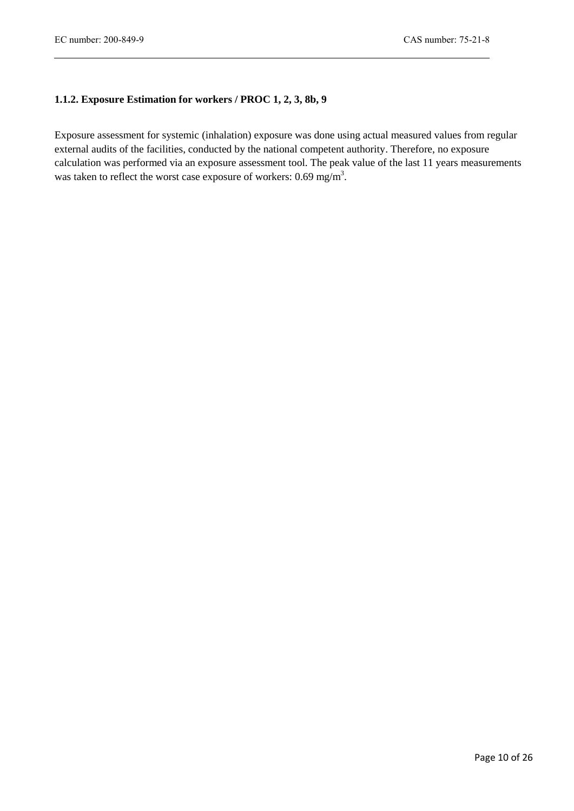# **1.1.2. Exposure Estimation for workers / PROC 1, 2, 3, 8b, 9**

Exposure assessment for systemic (inhalation) exposure was done using actual measured values from regular external audits of the facilities, conducted by the national competent authority. Therefore, no exposure calculation was performed via an exposure assessment tool. The peak value of the last 11 years measurements was taken to reflect the worst case exposure of workers:  $0.69$  mg/m<sup>3</sup>.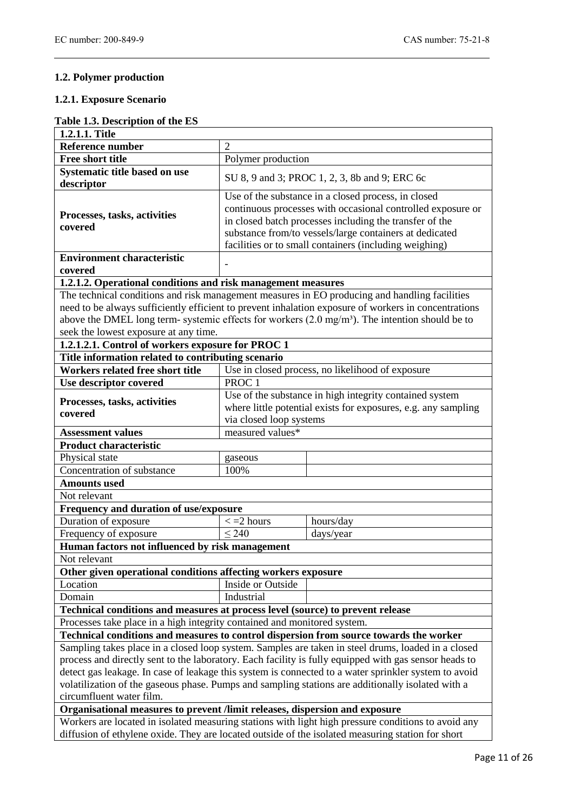# **1.2. Polymer production**

#### **1.2.1. Exposure Scenario**

# **Table 1.3. Description of the ES**

| 1.2.1.1. Title                                                                                                                                                                                                                                                                                                                                                                                                                                       |                                                                                                                                                                                                                                                                                                    |                                                                                                     |  |  |  |  |
|------------------------------------------------------------------------------------------------------------------------------------------------------------------------------------------------------------------------------------------------------------------------------------------------------------------------------------------------------------------------------------------------------------------------------------------------------|----------------------------------------------------------------------------------------------------------------------------------------------------------------------------------------------------------------------------------------------------------------------------------------------------|-----------------------------------------------------------------------------------------------------|--|--|--|--|
| <b>Reference number</b>                                                                                                                                                                                                                                                                                                                                                                                                                              | $\overline{2}$                                                                                                                                                                                                                                                                                     |                                                                                                     |  |  |  |  |
| <b>Free short title</b>                                                                                                                                                                                                                                                                                                                                                                                                                              | Polymer production                                                                                                                                                                                                                                                                                 |                                                                                                     |  |  |  |  |
| Systematic title based on use<br>descriptor                                                                                                                                                                                                                                                                                                                                                                                                          | SU 8, 9 and 3; PROC 1, 2, 3, 8b and 9; ERC 6c                                                                                                                                                                                                                                                      |                                                                                                     |  |  |  |  |
| Processes, tasks, activities<br>covered                                                                                                                                                                                                                                                                                                                                                                                                              | Use of the substance in a closed process, in closed<br>continuous processes with occasional controlled exposure or<br>in closed batch processes including the transfer of the<br>substance from/to vessels/large containers at dedicated<br>facilities or to small containers (including weighing) |                                                                                                     |  |  |  |  |
| <b>Environment characteristic</b>                                                                                                                                                                                                                                                                                                                                                                                                                    |                                                                                                                                                                                                                                                                                                    |                                                                                                     |  |  |  |  |
| covered                                                                                                                                                                                                                                                                                                                                                                                                                                              |                                                                                                                                                                                                                                                                                                    |                                                                                                     |  |  |  |  |
| 1.2.1.2. Operational conditions and risk management measures                                                                                                                                                                                                                                                                                                                                                                                         |                                                                                                                                                                                                                                                                                                    |                                                                                                     |  |  |  |  |
| The technical conditions and risk management measures in EO producing and handling facilities<br>need to be always sufficiently efficient to prevent inhalation exposure of workers in concentrations<br>above the DMEL long term- systemic effects for workers (2.0 mg/m <sup>3</sup> ). The intention should be to<br>seek the lowest exposure at any time.                                                                                        |                                                                                                                                                                                                                                                                                                    |                                                                                                     |  |  |  |  |
| 1.2.1.2.1. Control of workers exposure for PROC 1                                                                                                                                                                                                                                                                                                                                                                                                    |                                                                                                                                                                                                                                                                                                    |                                                                                                     |  |  |  |  |
| Title information related to contributing scenario                                                                                                                                                                                                                                                                                                                                                                                                   |                                                                                                                                                                                                                                                                                                    |                                                                                                     |  |  |  |  |
| Workers related free short title                                                                                                                                                                                                                                                                                                                                                                                                                     |                                                                                                                                                                                                                                                                                                    | Use in closed process, no likelihood of exposure                                                    |  |  |  |  |
| Use descriptor covered                                                                                                                                                                                                                                                                                                                                                                                                                               | PROC <sub>1</sub>                                                                                                                                                                                                                                                                                  |                                                                                                     |  |  |  |  |
| Processes, tasks, activities<br>covered                                                                                                                                                                                                                                                                                                                                                                                                              | Use of the substance in high integrity contained system<br>where little potential exists for exposures, e.g. any sampling<br>via closed loop systems                                                                                                                                               |                                                                                                     |  |  |  |  |
| <b>Assessment values</b>                                                                                                                                                                                                                                                                                                                                                                                                                             | measured values*                                                                                                                                                                                                                                                                                   |                                                                                                     |  |  |  |  |
| <b>Product characteristic</b>                                                                                                                                                                                                                                                                                                                                                                                                                        |                                                                                                                                                                                                                                                                                                    |                                                                                                     |  |  |  |  |
| Physical state                                                                                                                                                                                                                                                                                                                                                                                                                                       | gaseous                                                                                                                                                                                                                                                                                            |                                                                                                     |  |  |  |  |
| Concentration of substance                                                                                                                                                                                                                                                                                                                                                                                                                           | 100%                                                                                                                                                                                                                                                                                               |                                                                                                     |  |  |  |  |
| <b>Amounts used</b>                                                                                                                                                                                                                                                                                                                                                                                                                                  |                                                                                                                                                                                                                                                                                                    |                                                                                                     |  |  |  |  |
| Not relevant                                                                                                                                                                                                                                                                                                                                                                                                                                         |                                                                                                                                                                                                                                                                                                    |                                                                                                     |  |  |  |  |
| Frequency and duration of use/exposure                                                                                                                                                                                                                                                                                                                                                                                                               |                                                                                                                                                                                                                                                                                                    |                                                                                                     |  |  |  |  |
| Duration of exposure                                                                                                                                                                                                                                                                                                                                                                                                                                 | $\epsilon$ = 2 hours                                                                                                                                                                                                                                                                               | hours/day                                                                                           |  |  |  |  |
| Frequency of exposure                                                                                                                                                                                                                                                                                                                                                                                                                                | $\leq 240$                                                                                                                                                                                                                                                                                         | days/year                                                                                           |  |  |  |  |
| Human factors not influenced by risk management                                                                                                                                                                                                                                                                                                                                                                                                      |                                                                                                                                                                                                                                                                                                    |                                                                                                     |  |  |  |  |
| Not relevant                                                                                                                                                                                                                                                                                                                                                                                                                                         |                                                                                                                                                                                                                                                                                                    |                                                                                                     |  |  |  |  |
| Other given operational conditions affecting workers exposure                                                                                                                                                                                                                                                                                                                                                                                        |                                                                                                                                                                                                                                                                                                    |                                                                                                     |  |  |  |  |
| Location                                                                                                                                                                                                                                                                                                                                                                                                                                             | Inside or Outside                                                                                                                                                                                                                                                                                  |                                                                                                     |  |  |  |  |
| Domain                                                                                                                                                                                                                                                                                                                                                                                                                                               | Industrial                                                                                                                                                                                                                                                                                         |                                                                                                     |  |  |  |  |
| Technical conditions and measures at process level (source) to prevent release                                                                                                                                                                                                                                                                                                                                                                       |                                                                                                                                                                                                                                                                                                    |                                                                                                     |  |  |  |  |
| Processes take place in a high integrity contained and monitored system.                                                                                                                                                                                                                                                                                                                                                                             |                                                                                                                                                                                                                                                                                                    |                                                                                                     |  |  |  |  |
| Technical conditions and measures to control dispersion from source towards the worker                                                                                                                                                                                                                                                                                                                                                               |                                                                                                                                                                                                                                                                                                    |                                                                                                     |  |  |  |  |
| Sampling takes place in a closed loop system. Samples are taken in steel drums, loaded in a closed<br>process and directly sent to the laboratory. Each facility is fully equipped with gas sensor heads to<br>detect gas leakage. In case of leakage this system is connected to a water sprinkler system to avoid<br>volatilization of the gaseous phase. Pumps and sampling stations are additionally isolated with a<br>circumfluent water film. |                                                                                                                                                                                                                                                                                                    |                                                                                                     |  |  |  |  |
|                                                                                                                                                                                                                                                                                                                                                                                                                                                      | Organisational measures to prevent /limit releases, dispersion and exposure                                                                                                                                                                                                                        |                                                                                                     |  |  |  |  |
|                                                                                                                                                                                                                                                                                                                                                                                                                                                      |                                                                                                                                                                                                                                                                                                    | Workers are located in isolated measuring stations with light high pressure conditions to avoid any |  |  |  |  |
| diffusion of ethylene oxide. They are located outside of the isolated measuring station for short                                                                                                                                                                                                                                                                                                                                                    |                                                                                                                                                                                                                                                                                                    |                                                                                                     |  |  |  |  |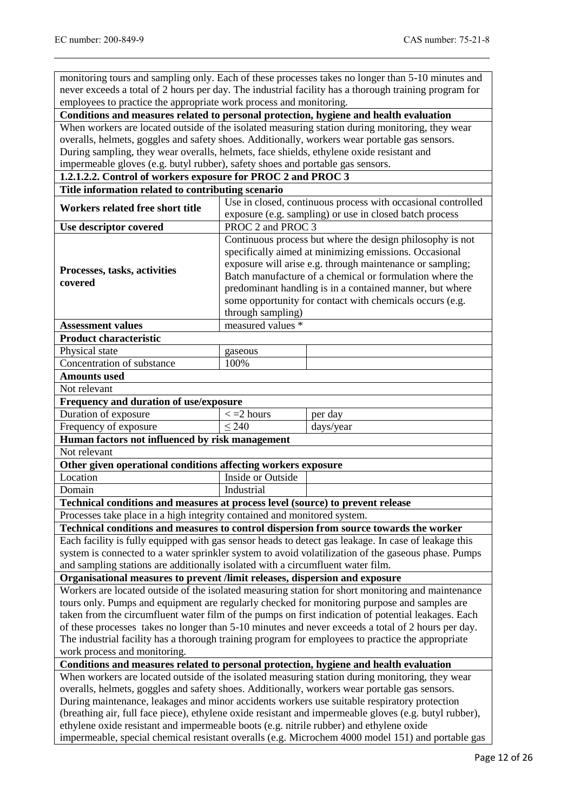monitoring tours and sampling only. Each of these processes takes no longer than 5-10 minutes and never exceeds a total of 2 hours per day. The industrial facility has a thorough training program for employees to practice the appropriate work process and monitoring.

**Conditions and measures related to personal protection, hygiene and health evaluation**

When workers are located outside of the isolated measuring station during monitoring, they wear overalls, helmets, goggles and safety shoes. Additionally, workers wear portable gas sensors. During sampling, they wear overalls, helmets, face shields, ethylene oxide resistant and impermeable gloves (e.g. butyl rubber), safety shoes and portable gas sensors.

# **1.2.1.2.2. Control of workers exposure for PROC 2 and PROC 3**

| Title information related to contributing scenario                                                                                                                                                     |                                                                                               |                                                                                                      |  |  |  |
|--------------------------------------------------------------------------------------------------------------------------------------------------------------------------------------------------------|-----------------------------------------------------------------------------------------------|------------------------------------------------------------------------------------------------------|--|--|--|
| Workers related free short title                                                                                                                                                                       | Use in closed, continuous process with occasional controlled                                  |                                                                                                      |  |  |  |
|                                                                                                                                                                                                        | exposure (e.g. sampling) or use in closed batch process                                       |                                                                                                      |  |  |  |
| Use descriptor covered                                                                                                                                                                                 | PROC 2 and PROC 3                                                                             |                                                                                                      |  |  |  |
|                                                                                                                                                                                                        |                                                                                               | Continuous process but where the design philosophy is not                                            |  |  |  |
|                                                                                                                                                                                                        |                                                                                               | specifically aimed at minimizing emissions. Occasional                                               |  |  |  |
| Processes, tasks, activities                                                                                                                                                                           | exposure will arise e.g. through maintenance or sampling;                                     |                                                                                                      |  |  |  |
| covered                                                                                                                                                                                                |                                                                                               | Batch manufacture of a chemical or formulation where the                                             |  |  |  |
|                                                                                                                                                                                                        |                                                                                               | predominant handling is in a contained manner, but where                                             |  |  |  |
|                                                                                                                                                                                                        |                                                                                               | some opportunity for contact with chemicals occurs (e.g.                                             |  |  |  |
|                                                                                                                                                                                                        | through sampling)                                                                             |                                                                                                      |  |  |  |
| <b>Assessment values</b>                                                                                                                                                                               | measured values *                                                                             |                                                                                                      |  |  |  |
| <b>Product characteristic</b>                                                                                                                                                                          |                                                                                               |                                                                                                      |  |  |  |
| Physical state                                                                                                                                                                                         | gaseous                                                                                       |                                                                                                      |  |  |  |
| Concentration of substance                                                                                                                                                                             | 100%                                                                                          |                                                                                                      |  |  |  |
| <b>Amounts used</b>                                                                                                                                                                                    |                                                                                               |                                                                                                      |  |  |  |
| Not relevant                                                                                                                                                                                           |                                                                                               |                                                                                                      |  |  |  |
| Frequency and duration of use/exposure                                                                                                                                                                 |                                                                                               |                                                                                                      |  |  |  |
| Duration of exposure                                                                                                                                                                                   | $\epsilon$ = 2 hours                                                                          | per day                                                                                              |  |  |  |
| Frequency of exposure                                                                                                                                                                                  | $\leq 240$                                                                                    | days/year                                                                                            |  |  |  |
| Human factors not influenced by risk management                                                                                                                                                        |                                                                                               |                                                                                                      |  |  |  |
| Not relevant                                                                                                                                                                                           |                                                                                               |                                                                                                      |  |  |  |
| Other given operational conditions affecting workers exposure                                                                                                                                          |                                                                                               |                                                                                                      |  |  |  |
| Location                                                                                                                                                                                               | Inside or Outside                                                                             |                                                                                                      |  |  |  |
| Domain                                                                                                                                                                                                 | Industrial                                                                                    |                                                                                                      |  |  |  |
| Technical conditions and measures at process level (source) to prevent release                                                                                                                         |                                                                                               |                                                                                                      |  |  |  |
| Processes take place in a high integrity contained and monitored system.                                                                                                                               |                                                                                               |                                                                                                      |  |  |  |
| Technical conditions and measures to control dispersion from source towards the worker                                                                                                                 |                                                                                               |                                                                                                      |  |  |  |
|                                                                                                                                                                                                        |                                                                                               | Each facility is fully equipped with gas sensor heads to detect gas leakage. In case of leakage this |  |  |  |
|                                                                                                                                                                                                        |                                                                                               | system is connected to a water sprinkler system to avoid volatilization of the gaseous phase. Pumps  |  |  |  |
| and sampling stations are additionally isolated with a circumfluent water film.                                                                                                                        |                                                                                               |                                                                                                      |  |  |  |
| Organisational measures to prevent /limit releases, dispersion and exposure                                                                                                                            |                                                                                               |                                                                                                      |  |  |  |
|                                                                                                                                                                                                        |                                                                                               | Workers are located outside of the isolated measuring station for short monitoring and maintenance   |  |  |  |
|                                                                                                                                                                                                        |                                                                                               | tours only. Pumps and equipment are regularly checked for monitoring purpose and samples are         |  |  |  |
|                                                                                                                                                                                                        |                                                                                               | taken from the circumfluent water film of the pumps on first indication of potential leakages. Each  |  |  |  |
| of these processes takes no longer than 5-10 minutes and never exceeds a total of 2 hours per day.                                                                                                     |                                                                                               |                                                                                                      |  |  |  |
| The industrial facility has a thorough training program for employees to practice the appropriate                                                                                                      |                                                                                               |                                                                                                      |  |  |  |
| work process and monitoring.<br>Conditions and measures related to personal protection, hygiene and health evaluation                                                                                  |                                                                                               |                                                                                                      |  |  |  |
|                                                                                                                                                                                                        |                                                                                               | When workers are located outside of the isolated measuring station during monitoring, they wear      |  |  |  |
|                                                                                                                                                                                                        |                                                                                               |                                                                                                      |  |  |  |
|                                                                                                                                                                                                        | overalls, helmets, goggles and safety shoes. Additionally, workers wear portable gas sensors. |                                                                                                      |  |  |  |
| During maintenance, leakages and minor accidents workers use suitable respiratory protection<br>(breathing air, full face piece), ethylene oxide resistant and impermeable gloves (e.g. butyl rubber), |                                                                                               |                                                                                                      |  |  |  |
| ethylene oxide resistant and impermeable boots (e.g. nitrile rubber) and ethylene oxide                                                                                                                |                                                                                               |                                                                                                      |  |  |  |
| impermeable, special chemical resistant overalls (e.g. Microchem 4000 model 151) and portable gas                                                                                                      |                                                                                               |                                                                                                      |  |  |  |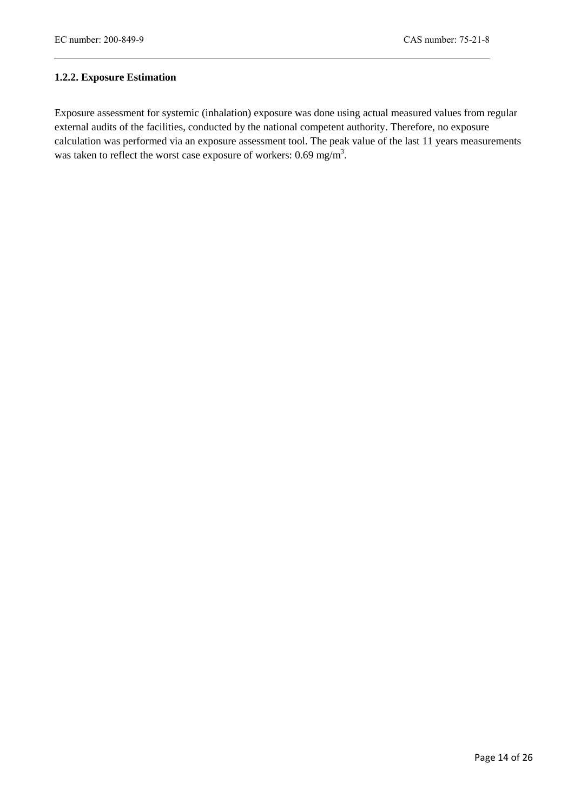# **1.2.2. Exposure Estimation**

Exposure assessment for systemic (inhalation) exposure was done using actual measured values from regular external audits of the facilities, conducted by the national competent authority. Therefore, no exposure calculation was performed via an exposure assessment tool. The peak value of the last 11 years measurements was taken to reflect the worst case exposure of workers:  $0.69$  mg/m<sup>3</sup>.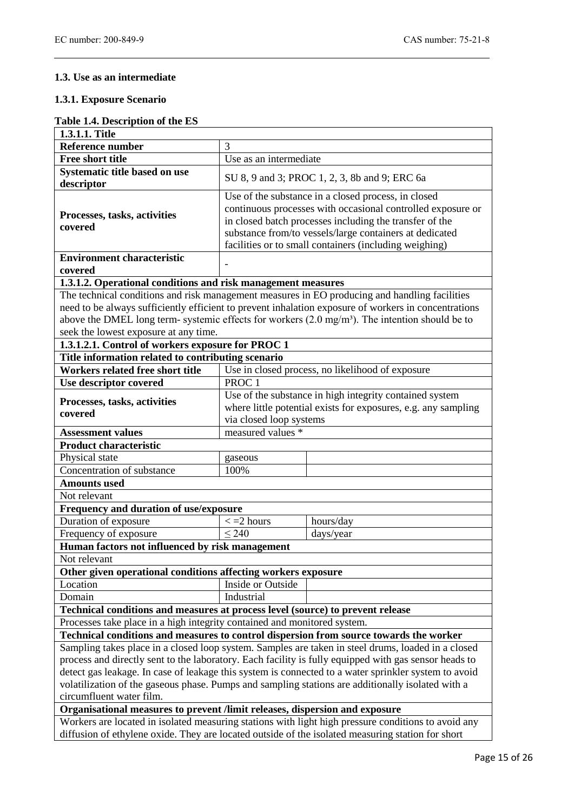# **1.3. Use as an intermediate**

#### **1.3.1. Exposure Scenario**

| Table 1.4. Description of the ES |  |  |
|----------------------------------|--|--|
|----------------------------------|--|--|

| 1.3.1.1. Title                                                                                                                                                                                                                                                                                                                                                                                                                                       |                                                                                                                                                                                                                                                                                                    |                                                  |  |  |  |  |
|------------------------------------------------------------------------------------------------------------------------------------------------------------------------------------------------------------------------------------------------------------------------------------------------------------------------------------------------------------------------------------------------------------------------------------------------------|----------------------------------------------------------------------------------------------------------------------------------------------------------------------------------------------------------------------------------------------------------------------------------------------------|--------------------------------------------------|--|--|--|--|
| <b>Reference number</b>                                                                                                                                                                                                                                                                                                                                                                                                                              | 3                                                                                                                                                                                                                                                                                                  |                                                  |  |  |  |  |
| <b>Free short title</b>                                                                                                                                                                                                                                                                                                                                                                                                                              | Use as an intermediate                                                                                                                                                                                                                                                                             |                                                  |  |  |  |  |
| Systematic title based on use<br>descriptor                                                                                                                                                                                                                                                                                                                                                                                                          | SU 8, 9 and 3; PROC 1, 2, 3, 8b and 9; ERC 6a                                                                                                                                                                                                                                                      |                                                  |  |  |  |  |
| Processes, tasks, activities<br>covered                                                                                                                                                                                                                                                                                                                                                                                                              | Use of the substance in a closed process, in closed<br>continuous processes with occasional controlled exposure or<br>in closed batch processes including the transfer of the<br>substance from/to vessels/large containers at dedicated<br>facilities or to small containers (including weighing) |                                                  |  |  |  |  |
| <b>Environment characteristic</b>                                                                                                                                                                                                                                                                                                                                                                                                                    |                                                                                                                                                                                                                                                                                                    |                                                  |  |  |  |  |
| covered                                                                                                                                                                                                                                                                                                                                                                                                                                              |                                                                                                                                                                                                                                                                                                    |                                                  |  |  |  |  |
| 1.3.1.2. Operational conditions and risk management measures                                                                                                                                                                                                                                                                                                                                                                                         |                                                                                                                                                                                                                                                                                                    |                                                  |  |  |  |  |
| The technical conditions and risk management measures in EO producing and handling facilities<br>need to be always sufficiently efficient to prevent inhalation exposure of workers in concentrations<br>above the DMEL long term- systemic effects for workers (2.0 mg/m <sup>3</sup> ). The intention should be to<br>seek the lowest exposure at any time.                                                                                        |                                                                                                                                                                                                                                                                                                    |                                                  |  |  |  |  |
| 1.3.1.2.1. Control of workers exposure for PROC 1<br>Title information related to contributing scenario                                                                                                                                                                                                                                                                                                                                              |                                                                                                                                                                                                                                                                                                    |                                                  |  |  |  |  |
| Workers related free short title                                                                                                                                                                                                                                                                                                                                                                                                                     |                                                                                                                                                                                                                                                                                                    | Use in closed process, no likelihood of exposure |  |  |  |  |
| Use descriptor covered                                                                                                                                                                                                                                                                                                                                                                                                                               | PROC <sub>1</sub>                                                                                                                                                                                                                                                                                  |                                                  |  |  |  |  |
| Processes, tasks, activities<br>covered                                                                                                                                                                                                                                                                                                                                                                                                              | Use of the substance in high integrity contained system<br>where little potential exists for exposures, e.g. any sampling<br>via closed loop systems                                                                                                                                               |                                                  |  |  |  |  |
| <b>Assessment values</b>                                                                                                                                                                                                                                                                                                                                                                                                                             | measured values *                                                                                                                                                                                                                                                                                  |                                                  |  |  |  |  |
| <b>Product characteristic</b>                                                                                                                                                                                                                                                                                                                                                                                                                        |                                                                                                                                                                                                                                                                                                    |                                                  |  |  |  |  |
| Physical state                                                                                                                                                                                                                                                                                                                                                                                                                                       | gaseous                                                                                                                                                                                                                                                                                            |                                                  |  |  |  |  |
| Concentration of substance                                                                                                                                                                                                                                                                                                                                                                                                                           | 100%                                                                                                                                                                                                                                                                                               |                                                  |  |  |  |  |
| <b>Amounts used</b>                                                                                                                                                                                                                                                                                                                                                                                                                                  |                                                                                                                                                                                                                                                                                                    |                                                  |  |  |  |  |
| Not relevant                                                                                                                                                                                                                                                                                                                                                                                                                                         |                                                                                                                                                                                                                                                                                                    |                                                  |  |  |  |  |
| Frequency and duration of use/exposure                                                                                                                                                                                                                                                                                                                                                                                                               |                                                                                                                                                                                                                                                                                                    |                                                  |  |  |  |  |
| Duration of exposure                                                                                                                                                                                                                                                                                                                                                                                                                                 | $\epsilon$ = 2 hours                                                                                                                                                                                                                                                                               | hours/day                                        |  |  |  |  |
| Frequency of exposure                                                                                                                                                                                                                                                                                                                                                                                                                                | $\leq 240$                                                                                                                                                                                                                                                                                         | days/year                                        |  |  |  |  |
| Human factors not influenced by risk management                                                                                                                                                                                                                                                                                                                                                                                                      |                                                                                                                                                                                                                                                                                                    |                                                  |  |  |  |  |
| Not relevant                                                                                                                                                                                                                                                                                                                                                                                                                                         |                                                                                                                                                                                                                                                                                                    |                                                  |  |  |  |  |
| Other given operational conditions affecting workers exposure                                                                                                                                                                                                                                                                                                                                                                                        |                                                                                                                                                                                                                                                                                                    |                                                  |  |  |  |  |
| Location                                                                                                                                                                                                                                                                                                                                                                                                                                             | Inside or Outside                                                                                                                                                                                                                                                                                  |                                                  |  |  |  |  |
|                                                                                                                                                                                                                                                                                                                                                                                                                                                      | Industrial<br>Domain                                                                                                                                                                                                                                                                               |                                                  |  |  |  |  |
| Technical conditions and measures at process level (source) to prevent release                                                                                                                                                                                                                                                                                                                                                                       |                                                                                                                                                                                                                                                                                                    |                                                  |  |  |  |  |
| Processes take place in a high integrity contained and monitored system.                                                                                                                                                                                                                                                                                                                                                                             |                                                                                                                                                                                                                                                                                                    |                                                  |  |  |  |  |
| Technical conditions and measures to control dispersion from source towards the worker                                                                                                                                                                                                                                                                                                                                                               |                                                                                                                                                                                                                                                                                                    |                                                  |  |  |  |  |
| Sampling takes place in a closed loop system. Samples are taken in steel drums, loaded in a closed<br>process and directly sent to the laboratory. Each facility is fully equipped with gas sensor heads to<br>detect gas leakage. In case of leakage this system is connected to a water sprinkler system to avoid<br>volatilization of the gaseous phase. Pumps and sampling stations are additionally isolated with a<br>circumfluent water film. |                                                                                                                                                                                                                                                                                                    |                                                  |  |  |  |  |
| Organisational measures to prevent /limit releases, dispersion and exposure                                                                                                                                                                                                                                                                                                                                                                          |                                                                                                                                                                                                                                                                                                    |                                                  |  |  |  |  |
| Workers are located in isolated measuring stations with light high pressure conditions to avoid any<br>diffusion of ethylene oxide. They are located outside of the isolated measuring station for short                                                                                                                                                                                                                                             |                                                                                                                                                                                                                                                                                                    |                                                  |  |  |  |  |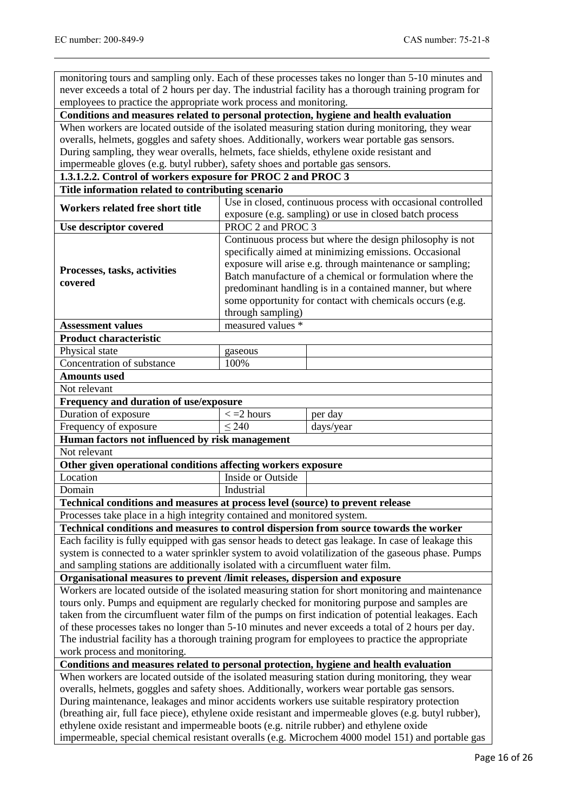monitoring tours and sampling only. Each of these processes takes no longer than 5-10 minutes and never exceeds a total of 2 hours per day. The industrial facility has a thorough training program for employees to practice the appropriate work process and monitoring.

**Conditions and measures related to personal protection, hygiene and health evaluation**

When workers are located outside of the isolated measuring station during monitoring, they wear overalls, helmets, goggles and safety shoes. Additionally, workers wear portable gas sensors. During sampling, they wear overalls, helmets, face shields, ethylene oxide resistant and impermeable gloves (e.g. butyl rubber), safety shoes and portable gas sensors.

# **1.3.1.2.2. Control of workers exposure for PROC 2 and PROC 3**

| Title information related to contributing scenario                                                                    |                                                                                                                                                                                                                                                                                                                                                                                           |                                                                                                      |  |  |  |
|-----------------------------------------------------------------------------------------------------------------------|-------------------------------------------------------------------------------------------------------------------------------------------------------------------------------------------------------------------------------------------------------------------------------------------------------------------------------------------------------------------------------------------|------------------------------------------------------------------------------------------------------|--|--|--|
| Workers related free short title                                                                                      | Use in closed, continuous process with occasional controlled                                                                                                                                                                                                                                                                                                                              |                                                                                                      |  |  |  |
|                                                                                                                       | exposure (e.g. sampling) or use in closed batch process                                                                                                                                                                                                                                                                                                                                   |                                                                                                      |  |  |  |
| Use descriptor covered                                                                                                | PROC 2 and PROC 3                                                                                                                                                                                                                                                                                                                                                                         |                                                                                                      |  |  |  |
| Processes, tasks, activities<br>covered                                                                               | Continuous process but where the design philosophy is not<br>specifically aimed at minimizing emissions. Occasional<br>exposure will arise e.g. through maintenance or sampling;<br>Batch manufacture of a chemical or formulation where the<br>predominant handling is in a contained manner, but where<br>some opportunity for contact with chemicals occurs (e.g.<br>through sampling) |                                                                                                      |  |  |  |
| <b>Assessment values</b>                                                                                              | measured values *                                                                                                                                                                                                                                                                                                                                                                         |                                                                                                      |  |  |  |
| <b>Product characteristic</b>                                                                                         |                                                                                                                                                                                                                                                                                                                                                                                           |                                                                                                      |  |  |  |
| Physical state                                                                                                        | gaseous                                                                                                                                                                                                                                                                                                                                                                                   |                                                                                                      |  |  |  |
| Concentration of substance                                                                                            | 100%                                                                                                                                                                                                                                                                                                                                                                                      |                                                                                                      |  |  |  |
| <b>Amounts used</b>                                                                                                   |                                                                                                                                                                                                                                                                                                                                                                                           |                                                                                                      |  |  |  |
| Not relevant                                                                                                          |                                                                                                                                                                                                                                                                                                                                                                                           |                                                                                                      |  |  |  |
| Frequency and duration of use/exposure                                                                                |                                                                                                                                                                                                                                                                                                                                                                                           |                                                                                                      |  |  |  |
| Duration of exposure                                                                                                  | $\epsilon$ = 2 hours                                                                                                                                                                                                                                                                                                                                                                      | per day                                                                                              |  |  |  |
| Frequency of exposure                                                                                                 | $\leq 240$                                                                                                                                                                                                                                                                                                                                                                                | days/year                                                                                            |  |  |  |
| Human factors not influenced by risk management                                                                       |                                                                                                                                                                                                                                                                                                                                                                                           |                                                                                                      |  |  |  |
| Not relevant                                                                                                          |                                                                                                                                                                                                                                                                                                                                                                                           |                                                                                                      |  |  |  |
| Other given operational conditions affecting workers exposure                                                         |                                                                                                                                                                                                                                                                                                                                                                                           |                                                                                                      |  |  |  |
| Location                                                                                                              | Inside or Outside                                                                                                                                                                                                                                                                                                                                                                         |                                                                                                      |  |  |  |
| Domain                                                                                                                | Industrial                                                                                                                                                                                                                                                                                                                                                                                |                                                                                                      |  |  |  |
| Technical conditions and measures at process level (source) to prevent release                                        |                                                                                                                                                                                                                                                                                                                                                                                           |                                                                                                      |  |  |  |
| Processes take place in a high integrity contained and monitored system.                                              |                                                                                                                                                                                                                                                                                                                                                                                           |                                                                                                      |  |  |  |
| Technical conditions and measures to control dispersion from source towards the worker                                |                                                                                                                                                                                                                                                                                                                                                                                           |                                                                                                      |  |  |  |
|                                                                                                                       |                                                                                                                                                                                                                                                                                                                                                                                           | Each facility is fully equipped with gas sensor heads to detect gas leakage. In case of leakage this |  |  |  |
|                                                                                                                       |                                                                                                                                                                                                                                                                                                                                                                                           | system is connected to a water sprinkler system to avoid volatilization of the gaseous phase. Pumps  |  |  |  |
| and sampling stations are additionally isolated with a circumfluent water film.                                       |                                                                                                                                                                                                                                                                                                                                                                                           |                                                                                                      |  |  |  |
| Organisational measures to prevent /limit releases, dispersion and exposure                                           |                                                                                                                                                                                                                                                                                                                                                                                           |                                                                                                      |  |  |  |
|                                                                                                                       |                                                                                                                                                                                                                                                                                                                                                                                           | Workers are located outside of the isolated measuring station for short monitoring and maintenance   |  |  |  |
|                                                                                                                       |                                                                                                                                                                                                                                                                                                                                                                                           | tours only. Pumps and equipment are regularly checked for monitoring purpose and samples are         |  |  |  |
|                                                                                                                       |                                                                                                                                                                                                                                                                                                                                                                                           | taken from the circumfluent water film of the pumps on first indication of potential leakages. Each  |  |  |  |
| of these processes takes no longer than 5-10 minutes and never exceeds a total of 2 hours per day.                    |                                                                                                                                                                                                                                                                                                                                                                                           |                                                                                                      |  |  |  |
| The industrial facility has a thorough training program for employees to practice the appropriate                     |                                                                                                                                                                                                                                                                                                                                                                                           |                                                                                                      |  |  |  |
| work process and monitoring.<br>Conditions and measures related to personal protection, hygiene and health evaluation |                                                                                                                                                                                                                                                                                                                                                                                           |                                                                                                      |  |  |  |
|                                                                                                                       |                                                                                                                                                                                                                                                                                                                                                                                           | When workers are located outside of the isolated measuring station during monitoring, they wear      |  |  |  |
| overalls, helmets, goggles and safety shoes. Additionally, workers wear portable gas sensors.                         |                                                                                                                                                                                                                                                                                                                                                                                           |                                                                                                      |  |  |  |
|                                                                                                                       |                                                                                                                                                                                                                                                                                                                                                                                           |                                                                                                      |  |  |  |
|                                                                                                                       | During maintenance, leakages and minor accidents workers use suitable respiratory protection<br>(breathing air, full face piece), ethylene oxide resistant and impermeable gloves (e.g. butyl rubber),                                                                                                                                                                                    |                                                                                                      |  |  |  |
| ethylene oxide resistant and impermeable boots (e.g. nitrile rubber) and ethylene oxide                               |                                                                                                                                                                                                                                                                                                                                                                                           |                                                                                                      |  |  |  |
| impermeable, special chemical resistant overalls (e.g. Microchem 4000 model 151) and portable gas                     |                                                                                                                                                                                                                                                                                                                                                                                           |                                                                                                      |  |  |  |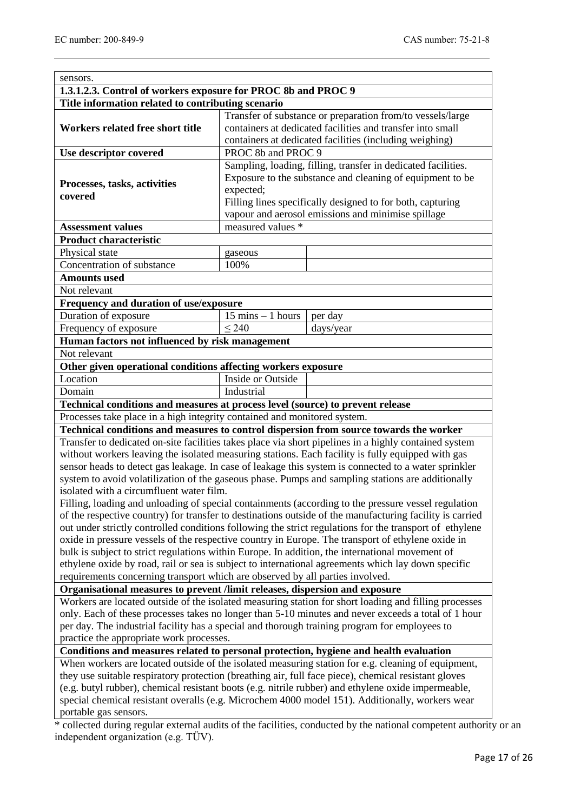| 1.3.1.2.3. Control of workers exposure for PROC 8b and PROC 9                                   |                                     |                                                                                                                   |
|-------------------------------------------------------------------------------------------------|-------------------------------------|-------------------------------------------------------------------------------------------------------------------|
| Title information related to contributing scenario                                              |                                     |                                                                                                                   |
|                                                                                                 |                                     | Transfer of substance or preparation from/to vessels/large                                                        |
| Workers related free short title                                                                |                                     | containers at dedicated facilities and transfer into small                                                        |
|                                                                                                 |                                     | containers at dedicated facilities (including weighing)                                                           |
| Use descriptor covered                                                                          | PROC 8b and PROC 9                  |                                                                                                                   |
|                                                                                                 |                                     | Sampling, loading, filling, transfer in dedicated facilities.                                                     |
| Processes, tasks, activities                                                                    |                                     | Exposure to the substance and cleaning of equipment to be                                                         |
| covered                                                                                         | expected;                           |                                                                                                                   |
|                                                                                                 |                                     | Filling lines specifically designed to for both, capturing                                                        |
|                                                                                                 | measured values *                   | vapour and aerosol emissions and minimise spillage                                                                |
| <b>Assessment values</b>                                                                        |                                     |                                                                                                                   |
| <b>Product characteristic</b><br>Physical state                                                 |                                     |                                                                                                                   |
| Concentration of substance                                                                      | gaseous<br>100%                     |                                                                                                                   |
| <b>Amounts used</b>                                                                             |                                     |                                                                                                                   |
| Not relevant                                                                                    |                                     |                                                                                                                   |
| Frequency and duration of use/exposure                                                          |                                     |                                                                                                                   |
| Duration of exposure                                                                            | $15 \text{ mins} - 1 \text{ hours}$ | per day                                                                                                           |
| Frequency of exposure                                                                           | $\leq$ 240                          | days/year                                                                                                         |
| Human factors not influenced by risk management                                                 |                                     |                                                                                                                   |
| Not relevant                                                                                    |                                     |                                                                                                                   |
| Other given operational conditions affecting workers exposure                                   |                                     |                                                                                                                   |
| Location                                                                                        | Inside or Outside                   |                                                                                                                   |
| Domain                                                                                          | Industrial                          |                                                                                                                   |
| Technical conditions and measures at process level (source) to prevent release                  |                                     |                                                                                                                   |
| Processes take place in a high integrity contained and monitored system.                        |                                     |                                                                                                                   |
|                                                                                                 |                                     | Technical conditions and measures to control dispersion from source towards the worker                            |
|                                                                                                 |                                     | Transfer to dedicated on-site facilities takes place via short pipelines in a highly contained system             |
|                                                                                                 |                                     | without workers leaving the isolated measuring stations. Each facility is fully equipped with gas                 |
|                                                                                                 |                                     | sensor heads to detect gas leakage. In case of leakage this system is connected to a water sprinkler              |
|                                                                                                 |                                     | system to avoid volatilization of the gaseous phase. Pumps and sampling stations are additionally                 |
| isolated with a circumfluent water film.                                                        |                                     |                                                                                                                   |
|                                                                                                 |                                     | Filling, loading and unloading of special containments (according to the pressure vessel regulation               |
|                                                                                                 |                                     | of the respective country) for transfer to destinations outside of the manufacturing facility is carried          |
|                                                                                                 |                                     | out under strictly controlled conditions following the strict regulations for the transport of ethylene           |
|                                                                                                 |                                     | oxide in pressure vessels of the respective country in Europe. The transport of ethylene oxide in                 |
| bulk is subject to strict regulations within Europe. In addition, the international movement of |                                     |                                                                                                                   |
|                                                                                                 |                                     | ethylene oxide by road, rail or sea is subject to international agreements which lay down specific                |
| requirements concerning transport which are observed by all parties involved.                   |                                     |                                                                                                                   |
| Organisational measures to prevent /limit releases, dispersion and exposure                     |                                     |                                                                                                                   |
|                                                                                                 |                                     | Workers are located outside of the isolated measuring station for short loading and filling processes             |
|                                                                                                 |                                     | only. Each of these processes takes no longer than 5-10 minutes and never exceeds a total of 1 hour               |
| per day. The industrial facility has a special and thorough training program for employees to   |                                     |                                                                                                                   |
| practice the appropriate work processes.                                                        |                                     |                                                                                                                   |
| Conditions and measures related to personal protection, hygiene and health evaluation           |                                     |                                                                                                                   |
|                                                                                                 |                                     | When workers are located outside of the isolated measuring station for e.g. cleaning of equipment,                |
|                                                                                                 |                                     | they use suitable respiratory protection (breathing air, full face piece), chemical resistant gloves              |
|                                                                                                 |                                     | (e.g. butyl rubber), chemical resistant boots (e.g. nitrile rubber) and ethylene oxide impermeable,               |
|                                                                                                 |                                     | special chemical resistant overalls (e.g. Microchem 4000 model 151). Additionally, workers wear                   |
|                                                                                                 |                                     |                                                                                                                   |
| portable gas sensors.                                                                           |                                     | * collected during regular external audits of the facilities, conducted by the national competent authority or an |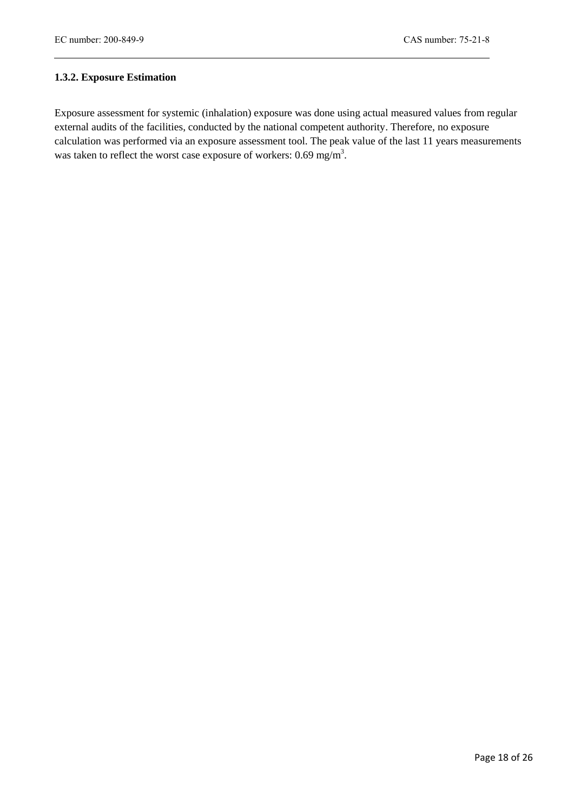# **1.3.2. Exposure Estimation**

Exposure assessment for systemic (inhalation) exposure was done using actual measured values from regular external audits of the facilities, conducted by the national competent authority. Therefore, no exposure calculation was performed via an exposure assessment tool. The peak value of the last 11 years measurements was taken to reflect the worst case exposure of workers:  $0.69$  mg/m<sup>3</sup>.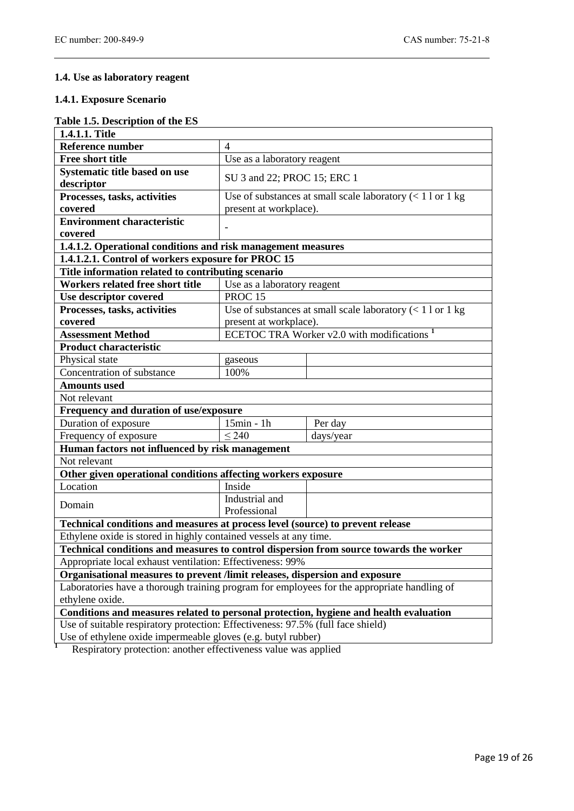# **1.4. Use as laboratory reagent**

#### **1.4.1. Exposure Scenario**

# **Table 1.5. Description of the ES**

| 1.4.1.1. Title                                                                              |                                                                    |                                                                                        |  |  |
|---------------------------------------------------------------------------------------------|--------------------------------------------------------------------|----------------------------------------------------------------------------------------|--|--|
| <b>Reference number</b>                                                                     | $\overline{4}$                                                     |                                                                                        |  |  |
| <b>Free short title</b>                                                                     | Use as a laboratory reagent                                        |                                                                                        |  |  |
| Systematic title based on use                                                               |                                                                    |                                                                                        |  |  |
| descriptor                                                                                  | SU 3 and 22; PROC 15; ERC 1                                        |                                                                                        |  |  |
| Processes, tasks, activities                                                                | Use of substances at small scale laboratory $\left($ < 1 l or 1 kg |                                                                                        |  |  |
| covered                                                                                     | present at workplace).                                             |                                                                                        |  |  |
| <b>Environment characteristic</b>                                                           |                                                                    |                                                                                        |  |  |
| covered                                                                                     |                                                                    |                                                                                        |  |  |
| 1.4.1.2. Operational conditions and risk management measures                                |                                                                    |                                                                                        |  |  |
| 1.4.1.2.1. Control of workers exposure for PROC 15                                          |                                                                    |                                                                                        |  |  |
| Title information related to contributing scenario                                          |                                                                    |                                                                                        |  |  |
| Workers related free short title                                                            | Use as a laboratory reagent                                        |                                                                                        |  |  |
| Use descriptor covered                                                                      | PROC <sub>15</sub>                                                 |                                                                                        |  |  |
| Processes, tasks, activities                                                                | Use of substances at small scale laboratory $\left($ < 1 l or 1 kg |                                                                                        |  |  |
| covered                                                                                     | present at workplace).                                             |                                                                                        |  |  |
| <b>Assessment Method</b>                                                                    |                                                                    | ECETOC TRA Worker $\overline{v2.0}$ with modifications <sup>1</sup>                    |  |  |
| <b>Product characteristic</b>                                                               |                                                                    |                                                                                        |  |  |
| Physical state                                                                              | gaseous                                                            |                                                                                        |  |  |
| Concentration of substance                                                                  | 100%                                                               |                                                                                        |  |  |
| <b>Amounts used</b>                                                                         |                                                                    |                                                                                        |  |  |
| Not relevant                                                                                |                                                                    |                                                                                        |  |  |
| Frequency and duration of use/exposure                                                      |                                                                    |                                                                                        |  |  |
| Duration of exposure                                                                        | 15min - 1h                                                         | Per day                                                                                |  |  |
| Frequency of exposure                                                                       | $\leq$ 240                                                         | days/year                                                                              |  |  |
| Human factors not influenced by risk management                                             |                                                                    |                                                                                        |  |  |
| Not relevant                                                                                |                                                                    |                                                                                        |  |  |
| Other given operational conditions affecting workers exposure                               |                                                                    |                                                                                        |  |  |
| Location                                                                                    | Inside                                                             |                                                                                        |  |  |
| Domain                                                                                      | Industrial and                                                     |                                                                                        |  |  |
|                                                                                             | Professional                                                       |                                                                                        |  |  |
| Technical conditions and measures at process level (source) to prevent release              |                                                                    |                                                                                        |  |  |
| Ethylene oxide is stored in highly contained vessels at any time.                           |                                                                    |                                                                                        |  |  |
|                                                                                             |                                                                    | Technical conditions and measures to control dispersion from source towards the worker |  |  |
| Appropriate local exhaust ventilation: Effectiveness: 99%                                   |                                                                    |                                                                                        |  |  |
| Organisational measures to prevent /limit releases, dispersion and exposure                 |                                                                    |                                                                                        |  |  |
| Laboratories have a thorough training program for employees for the appropriate handling of |                                                                    |                                                                                        |  |  |
| ethylene oxide.                                                                             |                                                                    |                                                                                        |  |  |
| Conditions and measures related to personal protection, hygiene and health evaluation       |                                                                    |                                                                                        |  |  |
| Use of suitable respiratory protection: Effectiveness: 97.5% (full face shield)             |                                                                    |                                                                                        |  |  |
| Use of ethylene oxide impermeable gloves (e.g. butyl rubber)                                |                                                                    |                                                                                        |  |  |
| Respiratory protection: another effectiveness value was applied                             |                                                                    |                                                                                        |  |  |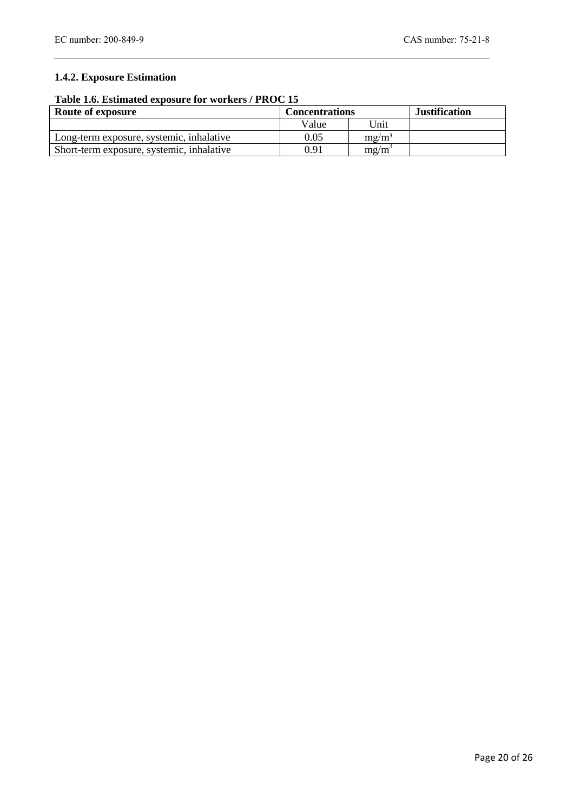# **1.4.2. Exposure Estimation**

# **Table 1.6. Estimated exposure for workers / PROC 15**

| Route of exposure                         | <b>Concentrations</b> |          | <b>Justification</b> |
|-------------------------------------------|-----------------------|----------|----------------------|
|                                           | Value                 | Unit     |                      |
| Long-term exposure, systemic, inhalative  | 0.05                  | $mg/m^3$ |                      |
| Short-term exposure, systemic, inhalative | 0.91                  | mg/m     |                      |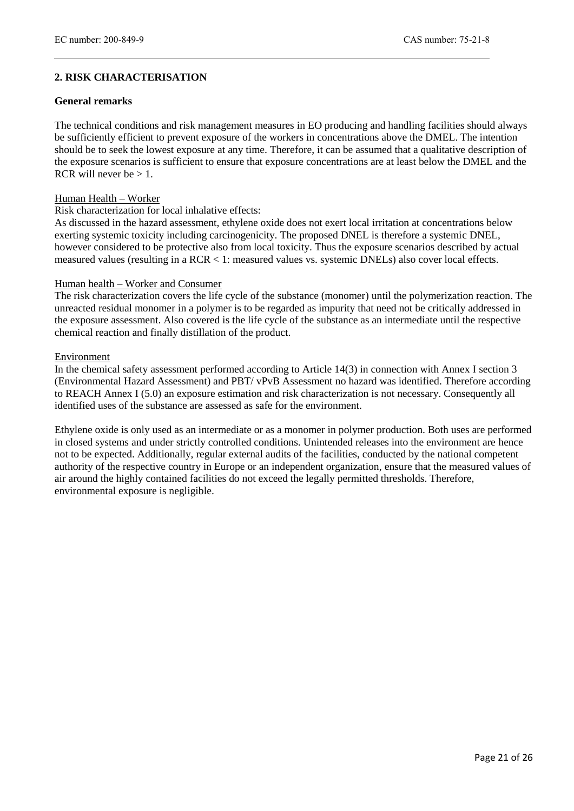# **2. RISK CHARACTERISATION**

#### **General remarks**

The technical conditions and risk management measures in EO producing and handling facilities should always be sufficiently efficient to prevent exposure of the workers in concentrations above the DMEL. The intention should be to seek the lowest exposure at any time. Therefore, it can be assumed that a qualitative description of the exposure scenarios is sufficient to ensure that exposure concentrations are at least below the DMEL and the RCR will never be  $> 1$ .

#### Human Health – Worker

#### Risk characterization for local inhalative effects:

As discussed in the hazard assessment, ethylene oxide does not exert local irritation at concentrations below exerting systemic toxicity including carcinogenicity. The proposed DNEL is therefore a systemic DNEL, however considered to be protective also from local toxicity. Thus the exposure scenarios described by actual measured values (resulting in a RCR < 1: measured values vs. systemic DNELs) also cover local effects.

#### Human health – Worker and Consumer

The risk characterization covers the life cycle of the substance (monomer) until the polymerization reaction. The unreacted residual monomer in a polymer is to be regarded as impurity that need not be critically addressed in the exposure assessment. Also covered is the life cycle of the substance as an intermediate until the respective chemical reaction and finally distillation of the product.

#### Environment

In the chemical safety assessment performed according to Article 14(3) in connection with Annex I section 3 (Environmental Hazard Assessment) and PBT/ vPvB Assessment no hazard was identified. Therefore according to REACH Annex I (5.0) an exposure estimation and risk characterization is not necessary. Consequently all identified uses of the substance are assessed as safe for the environment.

Ethylene oxide is only used as an intermediate or as a monomer in polymer production. Both uses are performed in closed systems and under strictly controlled conditions. Unintended releases into the environment are hence not to be expected. Additionally, regular external audits of the facilities, conducted by the national competent authority of the respective country in Europe or an independent organization, ensure that the measured values of air around the highly contained facilities do not exceed the legally permitted thresholds. Therefore, environmental exposure is negligible.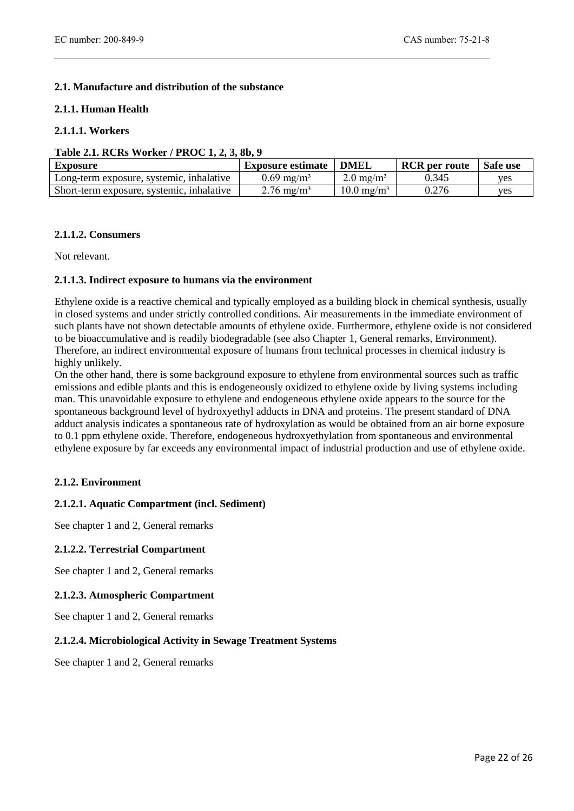# **2.1. Manufacture and distribution of the substance**

#### **2.1.1. Human Health**

#### **2.1.1.1. Workers**

#### **Table 2.1. RCRs Worker / PROC 1, 2, 3, 8b, 9**

| <b>Exposure</b>                           | <b>Exposure estimate</b> | DMEI.                    | <b>RCR</b> per route | Safe use |
|-------------------------------------------|--------------------------|--------------------------|----------------------|----------|
| Long-term exposure, systemic, inhalative  | $0.69 \text{ mg/m}^3$    | $2.0 \text{ mg/m}^3$     | 0.345                | ves      |
| Short-term exposure, systemic, inhalative | $2.76 \text{ mg/m}^3$    | $10.0 \,\mathrm{mg/m^3}$ | 0.276                | ves      |

#### **2.1.1.2. Consumers**

Not relevant.

#### **2.1.1.3. Indirect exposure to humans via the environment**

Ethylene oxide is a reactive chemical and typically employed as a building block in chemical synthesis, usually in closed systems and under strictly controlled conditions. Air measurements in the immediate environment of such plants have not shown detectable amounts of ethylene oxide. Furthermore, ethylene oxide is not considered to be bioaccumulative and is readily biodegradable (see also Chapter 1, General remarks, Environment). Therefore, an indirect environmental exposure of humans from technical processes in chemical industry is highly unlikely.

On the other hand, there is some background exposure to ethylene from environmental sources such as traffic emissions and edible plants and this is endogeneously oxidized to ethylene oxide by living systems including man. This unavoidable exposure to ethylene and endogeneous ethylene oxide appears to the source for the spontaneous background level of hydroxyethyl adducts in DNA and proteins. The present standard of DNA adduct analysis indicates a spontaneous rate of hydroxylation as would be obtained from an air borne exposure to 0.1 ppm ethylene oxide. Therefore, endogeneous hydroxyethylation from spontaneous and environmental ethylene exposure by far exceeds any environmental impact of industrial production and use of ethylene oxide.

#### **2.1.2. Environment**

#### **2.1.2.1. Aquatic Compartment (incl. Sediment)**

See chapter 1 and 2, General remarks

#### **2.1.2.2. Terrestrial Compartment**

See chapter 1 and 2, General remarks

#### **2.1.2.3. Atmospheric Compartment**

See chapter 1 and 2, General remarks

#### **2.1.2.4. Microbiological Activity in Sewage Treatment Systems**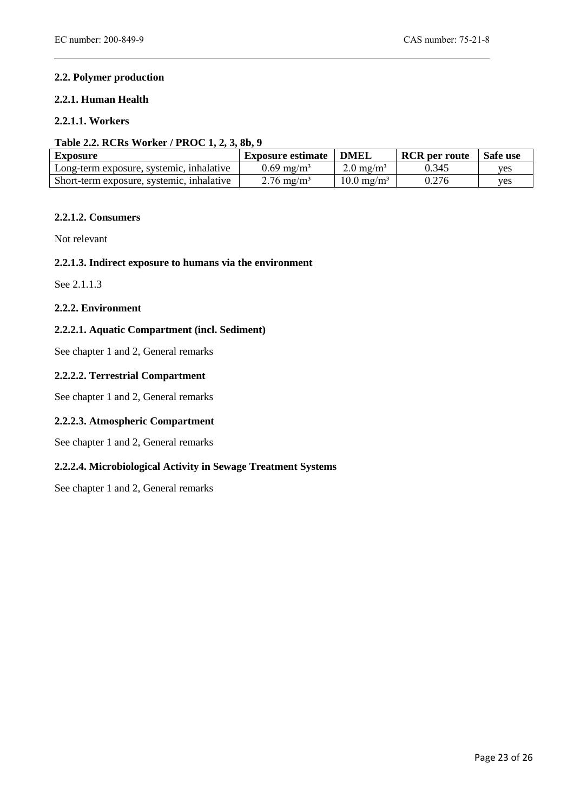# **2.2. Polymer production**

#### **2.2.1. Human Health**

# **2.2.1.1. Workers**

#### **Table 2.2. RCRs Worker / PROC 1, 2, 3, 8b, 9**

| <b>Exposure</b>                           | <b>Exposure estimate</b> | <b>DMEL</b>           | <b>RCR</b> per route | Safe use   |
|-------------------------------------------|--------------------------|-----------------------|----------------------|------------|
| Long-term exposure, systemic, inhalative  | $0.69 \text{ mg/m}^3$    | $2.0 \text{ mg/m}^3$  | 0.345                | ves        |
| Short-term exposure, systemic, inhalative | $2.76 \text{ mg/m}^3$    | $10.0 \text{ mg/m}^3$ | 0.276                | <b>ves</b> |

#### **2.2.1.2. Consumers**

Not relevant

#### **2.2.1.3. Indirect exposure to humans via the environment**

See 2.1.1.3

#### **2.2.2. Environment**

#### **2.2.2.1. Aquatic Compartment (incl. Sediment)**

See chapter 1 and 2, General remarks

#### **2.2.2.2. Terrestrial Compartment**

See chapter 1 and 2, General remarks

#### **2.2.2.3. Atmospheric Compartment**

See chapter 1 and 2, General remarks

#### **2.2.2.4. Microbiological Activity in Sewage Treatment Systems**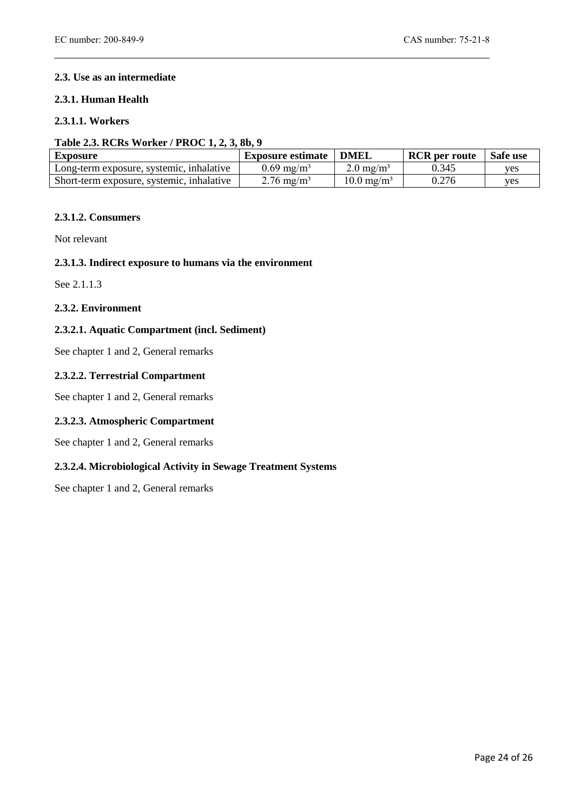# **2.3. Use as an intermediate**

#### **2.3.1. Human Health**

# **2.3.1.1. Workers**

#### **Table 2.3. RCRs Worker / PROC 1, 2, 3, 8b, 9**

| <b>Exposure</b>                           | <b>Exposure estimate</b> | <b>DMEL</b>           | <b>RCR</b> per route | Safe use |
|-------------------------------------------|--------------------------|-----------------------|----------------------|----------|
| Long-term exposure, systemic, inhalative  | $0.69 \text{ mg/m}^3$    | $2.0 \text{ mg/m}^3$  | 0.345                | ves      |
| Short-term exposure, systemic, inhalative | $2.76 \text{ mg/m}^3$    | $10.0 \text{ mg/m}^3$ | 0.276                | ves      |

#### **2.3.1.2. Consumers**

Not relevant

#### **2.3.1.3. Indirect exposure to humans via the environment**

See 2.1.1.3

#### **2.3.2. Environment**

#### **2.3.2.1. Aquatic Compartment (incl. Sediment)**

See chapter 1 and 2, General remarks

# **2.3.2.2. Terrestrial Compartment**

See chapter 1 and 2, General remarks

#### **2.3.2.3. Atmospheric Compartment**

See chapter 1 and 2, General remarks

#### **2.3.2.4. Microbiological Activity in Sewage Treatment Systems**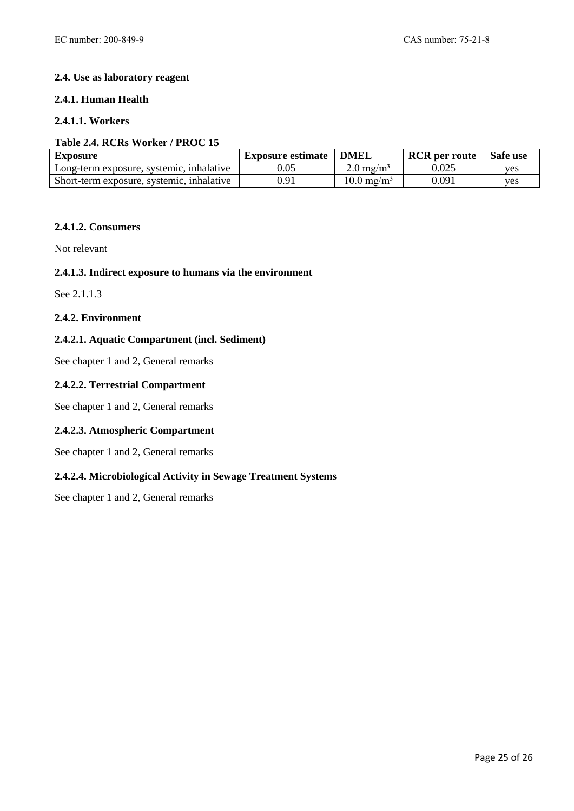# **2.4. Use as laboratory reagent**

#### **2.4.1. Human Health**

# **2.4.1.1. Workers**

#### **Table 2.4. RCRs Worker / PROC 15**

| <b>Exposure</b>                           | <b>Exposure estimate</b> | <b>DMEL</b>           | <b>RCR</b> per route | Safe use |
|-------------------------------------------|--------------------------|-----------------------|----------------------|----------|
| Long-term exposure, systemic, inhalative  | ).05                     | $2.0 \text{ mg/m}^3$  | $0.025\,$            | ves      |
| Short-term exposure, systemic, inhalative | ).91                     | $10.0 \text{ mg/m}^3$ | 0.091                | ves      |

# **2.4.1.2. Consumers**

Not relevant

#### **2.4.1.3. Indirect exposure to humans via the environment**

See 2.1.1.3

#### **2.4.2. Environment**

#### **2.4.2.1. Aquatic Compartment (incl. Sediment)**

See chapter 1 and 2, General remarks

### **2.4.2.2. Terrestrial Compartment**

See chapter 1 and 2, General remarks

#### **2.4.2.3. Atmospheric Compartment**

See chapter 1 and 2, General remarks

#### **2.4.2.4. Microbiological Activity in Sewage Treatment Systems**